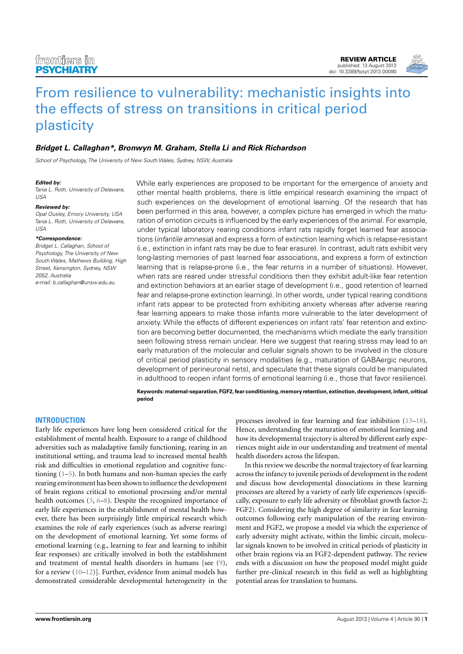

# **[Bridget L. Callaghan\\*](http://www.frontiersin.org/Community/WhosWhoActivity.aspx?sname=BridgetCallaghan&UID=74755), [Bronwyn M. Graham,](http://www.frontiersin.org/people/BronwynGraham/105142) Stella Li and [Rick Richardson](http://www.frontiersin.org/Community/WhosWhoActivity.aspx?sname=RickRichardson&UID=74754)**

School of Psychology, The University of New South Wales, Sydney, NSW, Australia

#### **Edited by:**

Tania L. Roth, University of Delaware,  $11S<sub>A</sub>$ 

#### **Reviewed by:**

Opal Ousley, Emory University, USA Tania L. Roth, University of Delaware, USA

#### **\*Correspondence:**

Bridget L. Callaghan, School of Psychology, The University of New South Wales, Mathews Building, High Street, Kensington, Sydney, NSW 2052, Australia e-mail: [b.callaghan@unsw.edu.au](mailto:b.callaghan@unsw.edu.au)

While early experiences are proposed to be important for the emergence of anxiety and other mental health problems, there is little empirical research examining the impact of such experiences on the development of emotional learning. Of the research that has been performed in this area, however, a complex picture has emerged in which the maturation of emotion circuits is influenced by the early experiences of the animal. For example, under typical laboratory rearing conditions infant rats rapidly forget learned fear associations (infantile amnesia) and express a form of extinction learning which is relapse-resistant (i.e., extinction in infant rats may be due to fear erasure). In contrast, adult rats exhibit very long-lasting memories of past learned fear associations, and express a form of extinction learning that is relapse-prone (i.e., the fear returns in a number of situations). However, when rats are reared under stressful conditions then they exhibit adult-like fear retention and extinction behaviors at an earlier stage of development (i.e., good retention of learned fear and relapse-prone extinction learning). In other words, under typical rearing conditions infant rats appear to be protected from exhibiting anxiety whereas after adverse rearing fear learning appears to make those infants more vulnerable to the later development of anxiety. While the effects of different experiences on infant rats' fear retention and extinction are becoming better documented, the mechanisms which mediate the early transition seen following stress remain unclear. Here we suggest that rearing stress may lead to an early maturation of the molecular and cellular signals shown to be involved in the closure of critical period plasticity in sensory modalities (e.g., maturation of GABAergic neurons, development of perineuronal nets), and speculate that these signals could be manipulated in adulthood to reopen infant forms of emotional learning (i.e., those that favor resilience).

**Keywords:maternal-separation, FGF2, fear conditioning,memory retention, extinction, development, infant, critical period**

# **INTRODUCTION**

Early life experiences have long been considered critical for the establishment of mental health. Exposure to a range of childhood adversities such as maladaptive family functioning, rearing in an institutional setting, and trauma lead to increased mental health risk and difficulties in emotional regulation and cognitive functioning [\(1](#page-10-0)[–5\)](#page-10-1). In both humans and non-human species the early rearing environment has been shown to influence the development of brain regions critical to emotional processing and/or mental health outcomes [\(3,](#page-10-2) [6–](#page-10-3)[8\)](#page-10-4). Despite the recognized importance of early life experiences in the establishment of mental health however, there has been surprisingly little empirical research which examines the role of early experiences (such as adverse rearing) on the development of emotional learning. Yet some forms of emotional learning (e.g., learning to fear and learning to inhibit fear responses) are critically involved in both the establishment and treatment of mental health disorders in humans [see [\(9\)](#page-10-5), for a review [\(10–](#page-10-6)[12\)](#page-10-7)]. Further, evidence from animal models has demonstrated considerable developmental heterogeneity in the

processes involved in fear learning and fear inhibition [\(13](#page-10-8)[–18\)](#page-10-9). Hence, understanding the maturation of emotional learning and how its developmental trajectory is altered by different early experiences might aide in our understanding and treatment of mental health disorders across the lifespan.

In this review we describe the normal trajectory of fear learning across the infancy to juvenile periods of development in the rodent and discuss how developmental dissociations in these learning processes are altered by a variety of early life experiences (specifically, exposure to early life adversity or fibroblast growth factor-2; FGF2). Considering the high degree of similarity in fear learning outcomes following early manipulation of the rearing environment and FGF2, we propose a model via which the experience of early adversity might activate, within the limbic circuit, molecular signals known to be involved in critical periods of plasticity in other brain regions via an FGF2-dependent pathway. The review ends with a discussion on how the proposed model might guide further pre-clinical research in this field as well as highlighting potential areas for translation to humans.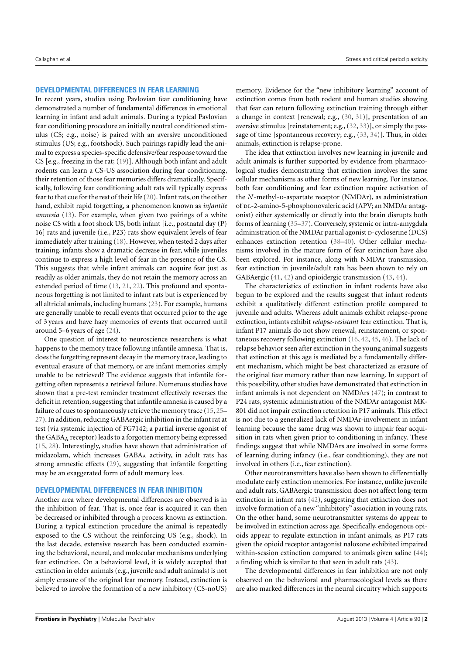## **DEVELOPMENTAL DIFFERENCES IN FEAR LEARNING**

In recent years, studies using Pavlovian fear conditioning have demonstrated a number of fundamental differences in emotional learning in infant and adult animals. During a typical Pavlovian fear conditioning procedure an initially neutral conditioned stimulus (CS; e.g., noise) is paired with an aversive unconditioned stimulus (US; e.g., footshock). Such pairings rapidly lead the animal to express a species-specific defensive/fear response toward the CS [e.g., freezing in the rat; [\(19\)](#page-10-10)]. Although both infant and adult rodents can learn a CS-US association during fear conditioning, their retention of those fear memories differs dramatically. Specifically, following fear conditioning adult rats will typically express fear to that cue for the rest of their life [\(20\)](#page-10-11). Infant rats, on the other hand, exhibit rapid forgetting, a phenomenon known as *infantile amnesia* [\(13\)](#page-10-8). For example, when given two pairings of a white noise CS with a foot shock US, both infant [i.e., postnatal day (P) 16] rats and juvenile (i.e., P23) rats show equivalent levels of fear immediately after training [\(18\)](#page-10-9). However, when tested 2 days after training, infants show a dramatic decrease in fear, while juveniles continue to express a high level of fear in the presence of the CS. This suggests that while infant animals can acquire fear just as readily as older animals, they do not retain the memory across an extended period of time [\(13,](#page-10-8) [21,](#page-10-12) [22\)](#page-10-13). This profound and spontaneous forgetting is not limited to infant rats but is experienced by all altricial animals, including humans [\(23\)](#page-11-0). For example, humans are generally unable to recall events that occurred prior to the age of 3 years and have hazy memories of events that occurred until around 5–6 years of age [\(24\)](#page-11-1).

One question of interest to neuroscience researchers is what happens to the memory trace following infantile amnesia. That is, does the forgetting represent decay in the memory trace, leading to eventual erasure of that memory, or are infant memories simply unable to be retrieved? The evidence suggests that infantile forgetting often represents a retrieval failure. Numerous studies have shown that a pre-test reminder treatment effectively reverses the deficit in retention, suggesting that infantile amnesia is caused by a failure of cues to spontaneously retrieve the memory trace [\(15,](#page-10-14) [25–](#page-11-2) [27\)](#page-11-3). In addition, reducing GABAergic inhibition in the infant rat at test (via systemic injection of FG7142; a partial inverse agonist of the GABA<sub>A</sub> receptor) leads to a forgotten memory being expressed [\(15,](#page-10-14) [28\)](#page-11-4). Interestingly, studies have shown that administration of midazolam, which increases GABAA activity, in adult rats has strong amnestic effects [\(29\)](#page-11-5), suggesting that infantile forgetting may be an exaggerated form of adult memory loss.

# **DEVELOPMENTAL DIFFERENCES IN FEAR INHIBITION**

Another area where developmental differences are observed is in the inhibition of fear. That is, once fear is acquired it can then be decreased or inhibited through a process known as extinction. During a typical extinction procedure the animal is repeatedly exposed to the CS without the reinforcing US (e.g., shock). In the last decade, extensive research has been conducted examining the behavioral, neural, and molecular mechanisms underlying fear extinction. On a behavioral level, it is widely accepted that extinction in older animals (e.g., juvenile and adult animals) is not simply erasure of the original fear memory. Instead, extinction is believed to involve the formation of a new inhibitory (CS-noUS)

memory. Evidence for the "new inhibitory learning" account of extinction comes from both rodent and human studies showing that fear can return following extinction training through either a change in context [renewal; e.g., [\(30,](#page-11-6) [31\)](#page-11-7)], presentation of an aversive stimulus [reinstatement; e.g., [\(32,](#page-11-8) [33\)](#page-11-9)], or simply the passage of time [spontaneous recovery; e.g., [\(33,](#page-11-9) [34\)](#page-11-10)]. Thus, in older animals, extinction is relapse-prone.

The idea that extinction involves new learning in juvenile and adult animals is further supported by evidence from pharmacological studies demonstrating that extinction involves the same cellular mechanisms as other forms of new learning. For instance, both fear conditioning and fear extinction require activation of the *N*-methyl-D-aspartate receptor (NMDAr), as administration of pL-2-amino-5-phosphonovaleric acid (APV; an NMDAr antagonist) either systemically or directly into the brain disrupts both forms of learning [\(35–](#page-11-11)[37\)](#page-11-12). Conversely, systemic or intra-amygdala administration of the NMDAr partial agonist p-cycloserine (DCS) enhances extinction retention [\(38–](#page-11-13)[40\)](#page-11-14). Other cellular mechanisms involved in the mature form of fear extinction have also been explored. For instance, along with NMDAr transmission, fear extinction in juvenile/adult rats has been shown to rely on GABAergic [\(41,](#page-11-15) [42\)](#page-11-16) and opioidergic transmission [\(43,](#page-11-17) [44\)](#page-11-18).

The characteristics of extinction in infant rodents have also begun to be explored and the results suggest that infant rodents exhibit a qualitatively different extinction profile compared to juvenile and adults. Whereas adult animals exhibit relapse-prone extinction, infants exhibit *relapse-resistant* fear extinction. That is, infant P17 animals do not show renewal, reinstatement, or spontaneous recovery following extinction [\(16,](#page-10-15) [42,](#page-11-16) [45,](#page-11-19) [46\)](#page-11-20). The lack of relapse behavior seen after extinction in the young animal suggests that extinction at this age is mediated by a fundamentally different mechanism, which might be best characterized as erasure of the original fear memory rather than new learning. In support of this possibility, other studies have demonstrated that extinction in infant animals is not dependent on NMDArs [\(47\)](#page-11-21); in contrast to P24 rats, systemic administration of the NMDAr antagonist MK-801 did not impair extinction retention in P17 animals. This effect is not due to a generalized lack of NMDAr-involvement in infant learning because the same drug was shown to impair fear acquisition in rats when given prior to conditioning in infancy. These findings suggest that while NMDArs are involved in some forms of learning during infancy (i.e., fear conditioning), they are not involved in others (i.e., fear extinction).

Other neurotransmitters have also been shown to differentially modulate early extinction memories. For instance, unlike juvenile and adult rats, GABAergic transmission does not affect long-term extinction in infant rats [\(42\)](#page-11-16), suggesting that extinction does not involve formation of a new "inhibitory" association in young rats. On the other hand, some neurotransmitter systems do appear to be involved in extinction across age. Specifically, endogenous opioids appear to regulate extinction in infant animals, as P17 rats given the opioid receptor antagonist naloxone exhibited impaired within-session extinction compared to animals given saline [\(44\)](#page-11-18); a finding which is similar to that seen in adult rats [\(43\)](#page-11-17).

The developmental differences in fear inhibition are not only observed on the behavioral and pharmacological levels as there are also marked differences in the neural circuitry which supports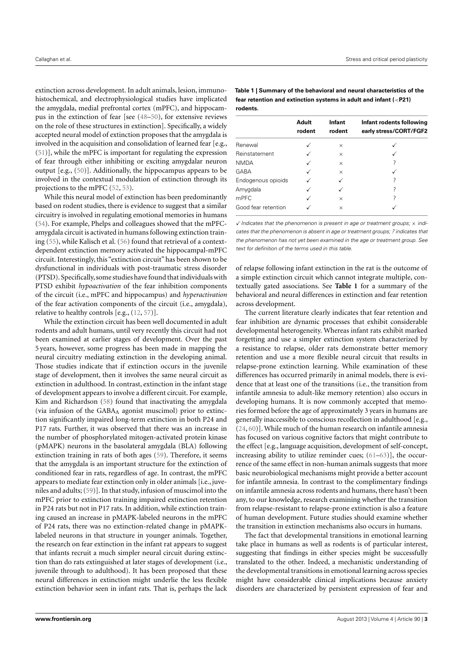extinction across development. In adult animals, lesion, immunohistochemical, and electrophysiological studies have implicated the amygdala, medial prefrontal cortex (mPFC), and hippocampus in the extinction of fear [see [\(48](#page-11-22)[–50\)](#page-11-23), for extensive reviews on the role of these structures in extinction]. Specifically, a widely accepted neural model of extinction proposes that the amygdala is involved in the acquisition and consolidation of learned fear [e.g., [\(51\)](#page-11-24)], while the mPFC is important for regulating the expression of fear through either inhibiting or exciting amygdalar neuron output [e.g., [\(50\)](#page-11-23)]. Additionally, the hippocampus appears to be involved in the contextual modulation of extinction through its projections to the mPFC [\(52,](#page-11-25) [53\)](#page-11-26).

While this neural model of extinction has been predominantly based on rodent studies, there is evidence to suggest that a similar circuitry is involved in regulating emotional memories in humans [\(54\)](#page-11-27). For example, Phelps and colleagues showed that the mPFCamygdala circuit is activated in humans following extinction training [\(55\)](#page-11-28), while Kalisch et al. [\(56\)](#page-11-29) found that retrieval of a contextdependent extinction memory activated the hippocampal-mPFC circuit. Interestingly, this "extinction circuit" has been shown to be dysfunctional in individuals with post-traumatic stress disorder (PTSD). Specifically,some studies have found that individuals with PTSD exhibit *hypoactivation* of the fear inhibition components of the circuit (i.e., mPFC and hippocampus) and *hyperactivation* of the fear activation components of the circuit (i.e., amygdala), relative to healthy controls [e.g., [\(12,](#page-10-7) [57\)](#page-11-30)].

While the extinction circuit has been well documented in adult rodents and adult humans, until very recently this circuit had not been examined at earlier stages of development. Over the past 5 years, however, some progress has been made in mapping the neural circuitry mediating extinction in the developing animal. Those studies indicate that if extinction occurs in the juvenile stage of development, then it involves the same neural circuit as extinction in adulthood. In contrast, extinction in the infant stage of development appears to involve a different circuit. For example, Kim and Richardson [\(58\)](#page-11-31) found that inactivating the amygdala (via infusion of the GABA<sup>A</sup> agonist muscimol) prior to extinction significantly impaired long-term extinction in both P24 and P17 rats. Further, it was observed that there was an increase in the number of phosphorylated mitogen-activated protein kinase (pMAPK) neurons in the basolateral amygdala (BLA) following extinction training in rats of both ages [\(59\)](#page-11-32). Therefore, it seems that the amygdala is an important structure for the extinction of conditioned fear in rats, regardless of age. In contrast, the mPFC appears to mediate fear extinction only in older animals [i.e., juveniles and adults; [\(59\)](#page-11-32)]. In that study, infusion of muscimol into the mPFC prior to extinction training impaired extinction retention in P24 rats but not in P17 rats. In addition, while extinction training caused an increase in pMAPK-labeled neurons in the mPFC of P24 rats, there was no extinction-related change in pMAPKlabeled neurons in that structure in younger animals. Together, the research on fear extinction in the infant rat appears to suggest that infants recruit a much simpler neural circuit during extinction than do rats extinguished at later stages of development (i.e., juvenile through to adulthood). It has been proposed that these neural differences in extinction might underlie the less flexible extinction behavior seen in infant rats. That is, perhaps the lack

<span id="page-2-0"></span>**Table 1 | Summary of the behavioral and neural characteristics of the fear retention and extinction systems in adult and infant (**<**P21) rodents.**

|                     | Adult<br>rodent | Infant<br>rodent | Infant rodents following<br>early stress/CORT/FGF2 |
|---------------------|-----------------|------------------|----------------------------------------------------|
| Renewal             |                 | $\times$         |                                                    |
| Reinstatement       |                 | $\times$         |                                                    |
| <b>NMDA</b>         |                 | $\times$         |                                                    |
| GABA                |                 | $\times$         |                                                    |
| Endogenous opioids  |                 |                  |                                                    |
| Amygdala            |                 |                  |                                                    |
| mPFC                |                 | $\times$         |                                                    |
| Good fear retention |                 | $\times$         |                                                    |

 $\checkmark$  Indicates that the phenomenon is present in age or treatment groups;  $\times$  indicates that the phenomenon is absent in age or treatment groups; ? indicates that the phenomenon has not yet been examined in the age or treatment group. See text for definition of the terms used in this table.

of relapse following infant extinction in the rat is the outcome of a simple extinction circuit which cannot integrate multiple, contextually gated associations. See **[Table 1](#page-2-0)** for a summary of the behavioral and neural differences in extinction and fear retention across development.

The current literature clearly indicates that fear retention and fear inhibition are dynamic processes that exhibit considerable developmental heterogeneity. Whereas infant rats exhibit marked forgetting and use a simpler extinction system characterized by a resistance to relapse, older rats demonstrate better memory retention and use a more flexible neural circuit that results in relapse-prone extinction learning. While examination of these differences has occurred primarily in animal models, there is evidence that at least one of the transitions (i.e., the transition from infantile amnesia to adult-like memory retention) also occurs in developing humans. It is now commonly accepted that memories formed before the age of approximately 3 years in humans are generally inaccessible to conscious recollection in adulthood [e.g., [\(24,](#page-11-1) [60\)](#page-11-33)]. While much of the human research on infantile amnesia has focused on various cognitive factors that might contribute to the effect [e.g., language acquisition, development of self-concept, increasing ability to utilize reminder cues; [\(61–](#page-11-34)[63\)](#page-11-35)], the occurrence of the same effect in non-human animals suggests that more basic neurobiological mechanisms might provide a better account for infantile amnesia. In contrast to the complimentary findings on infantile amnesia across rodents and humans, there hasn't been any, to our knowledge, research examining whether the transition from relapse-resistant to relapse-prone extinction is also a feature of human development. Future studies should examine whether the transition in extinction mechanisms also occurs in humans.

The fact that developmental transitions in emotional learning take place in humans as well as rodents is of particular interest, suggesting that findings in either species might be successfully translated to the other. Indeed, a mechanistic understanding of the developmental transitions in emotional learning across species might have considerable clinical implications because anxiety disorders are characterized by persistent expression of fear and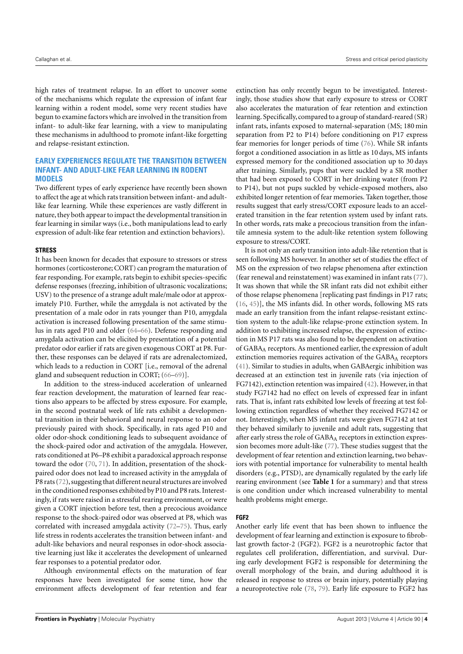high rates of treatment relapse. In an effort to uncover some of the mechanisms which regulate the expression of infant fear learning within a rodent model, some very recent studies have begun to examine factors which are involved in the transition from infant- to adult-like fear learning, with a view to manipulating these mechanisms in adulthood to promote infant-like forgetting and relapse-resistant extinction.

# **EARLY EXPERIENCES REGULATE THE TRANSITION BETWEEN INFANT- AND ADULT-LIKE FEAR LEARNING IN RODENT MODELS**

Two different types of early experience have recently been shown to affect the age at which rats transition between infant- and adultlike fear learning. While these experiences are vastly different in nature, they both appear to impact the developmental transition in fear learning in similar ways (i.e., both manipulations lead to early expression of adult-like fear retention and extinction behaviors).

#### **STRESS**

It has been known for decades that exposure to stressors or stress hormones (corticosterone; CORT) can program the maturation of fear responding. For example, rats begin to exhibit species-specific defense responses (freezing, inhibition of ultrasonic vocalizations; USV) to the presence of a strange adult male/male odor at approximately P10. Further, while the amygdala is not activated by the presentation of a male odor in rats younger than P10, amygdala activation is increased following presentation of the same stimulus in rats aged P10 and older [\(64–](#page-11-36)[66\)](#page-11-37). Defense responding and amygdala activation can be elicited by presentation of a potential predator odor earlier if rats are given exogenous CORT at P8. Further, these responses can be delayed if rats are adrenalectomized, which leads to a reduction in CORT [i.e., removal of the adrenal gland and subsequent reduction in CORT; [\(66–](#page-11-37)[69\)](#page-12-0)].

In addition to the stress-induced acceleration of unlearned fear reaction development, the maturation of learned fear reactions also appears to be affected by stress exposure. For example, in the second postnatal week of life rats exhibit a developmental transition in their behavioral and neural response to an odor previously paired with shock. Specifically, in rats aged P10 and older odor-shock conditioning leads to subsequent avoidance of the shock-paired odor and activation of the amygdala. However, rats conditioned at P6–P8 exhibit a paradoxical approach response toward the odor [\(70,](#page-12-1) [71\)](#page-12-2). In addition, presentation of the shockpaired odor does not lead to increased activity in the amygdala of P8 rats [\(72\)](#page-12-3), suggesting that different neural structures are involved in the conditioned responses exhibited by P10 and P8 rats. Interestingly, if rats were raised in a stressful rearing environment, or were given a CORT injection before test, then a precocious avoidance response to the shock-paired odor was observed at P8, which was correlated with increased amygdala activity [\(72–](#page-12-3)[75\)](#page-12-4). Thus, early life stress in rodents accelerates the transition between infant- and adult-like behaviors and neural responses in odor-shock associative learning just like it accelerates the development of unlearned fear responses to a potential predator odor.

Although environmental effects on the maturation of fear responses have been investigated for some time, how the environment affects development of fear retention and fear

extinction has only recently begun to be investigated. Interestingly, those studies show that early exposure to stress or CORT also accelerates the maturation of fear retention and extinction learning. Specifically, compared to a group of standard-reared (SR) infant rats, infants exposed to maternal-separation (MS; 180 min separation from P2 to P14) before conditioning on P17 express fear memories for longer periods of time [\(76\)](#page-12-5). While SR infants forgot a conditioned association in as little as 10 days, MS infants expressed memory for the conditioned association up to 30 days after training. Similarly, pups that were suckled by a SR mother that had been exposed to CORT in her drinking water (from P2 to P14), but not pups suckled by vehicle-exposed mothers, also exhibited longer retention of fear memories. Taken together, those results suggest that early stress/CORT exposure leads to an accelerated transition in the fear retention system used by infant rats. In other words, rats make a precocious transition from the infantile amnesia system to the adult-like retention system following exposure to stress/CORT.

It is not only an early transition into adult-like retention that is seen following MS however. In another set of studies the effect of MS on the expression of two relapse phenomena after extinction (fear renewal and reinstatement) was examined in infant rats [\(77\)](#page-12-6). It was shown that while the SR infant rats did not exhibit either of those relapse phenomena [replicating past findings in P17 rats; [\(16,](#page-10-15) [45\)](#page-11-19)], the MS infants did. In other words, following MS rats made an early transition from the infant relapse-resistant extinction system to the adult-like relapse-prone extinction system. In addition to exhibiting increased relapse, the expression of extinction in MS P17 rats was also found to be dependent on activation of GABA<sup>A</sup> receptors. As mentioned earlier, the expression of adult extinction memories requires activation of the GABAA receptors [\(41\)](#page-11-15). Similar to studies in adults, when GABAergic inhibition was decreased at an extinction test in juvenile rats (via injection of FG7142), extinction retention was impaired [\(42\)](#page-11-16). However, in that study FG7142 had no effect on levels of expressed fear in infant rats. That is, infant rats exhibited low levels of freezing at test following extinction regardless of whether they received FG7142 or not. Interestingly, when MS infant rats were given FG7142 at test they behaved similarly to juvenile and adult rats, suggesting that after early stress the role of GABAA receptors in extinction expression becomes more adult-like [\(77\)](#page-12-6). These studies suggest that the development of fear retention and extinction learning, two behaviors with potential importance for vulnerability to mental health disorders (e.g., PTSD), are dynamically regulated by the early life rearing environment (see **[Table 1](#page-2-0)** for a summary) and that stress is one condition under which increased vulnerability to mental health problems might emerge.

#### **FGF2**

Another early life event that has been shown to influence the development of fear learning and extinction is exposure to fibroblast growth factor-2 (FGF2). FGF2 is a neurotrophic factor that regulates cell proliferation, differentiation, and survival. During early development FGF2 is responsible for determining the overall morphology of the brain, and during adulthood it is released in response to stress or brain injury, potentially playing a neuroprotective role [\(78,](#page-12-7) [79\)](#page-12-8). Early life exposure to FGF2 has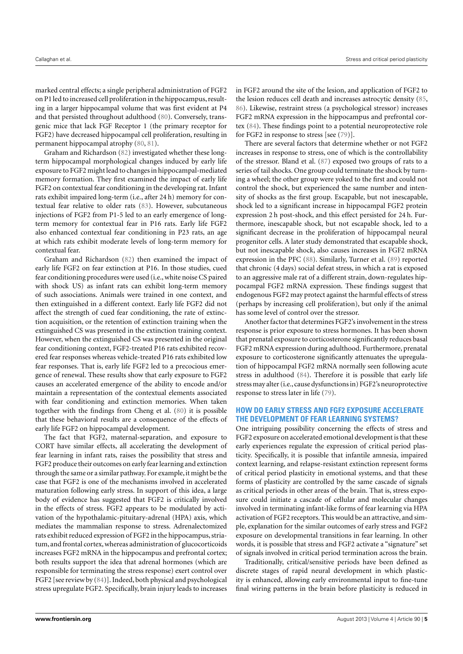marked central effects; a single peripheral administration of FGF2 on P1 led to increased cell proliferation in the hippocampus, resulting in a larger hippocampal volume that was first evident at P4 and that persisted throughout adulthood [\(80\)](#page-12-9). Conversely, transgenic mice that lack FGF Receptor 1 (the primary receptor for FGF2) have decreased hippocampal cell proliferation, resulting in permanent hippocampal atrophy [\(80,](#page-12-9) [81\)](#page-12-10).

Graham and Richardson [\(82\)](#page-12-11) investigated whether these longterm hippocampal morphological changes induced by early life exposure to FGF2 might lead to changes in hippocampal-mediated memory formation. They first examined the impact of early life FGF2 on contextual fear conditioning in the developing rat. Infant rats exhibit impaired long-term (i.e., after 24 h) memory for contextual fear relative to older rats [\(83\)](#page-12-12). However, subcutaneous injections of FGF2 from P1-5 led to an early emergence of longterm memory for contextual fear in P16 rats. Early life FGF2 also enhanced contextual fear conditioning in P23 rats, an age at which rats exhibit moderate levels of long-term memory for contextual fear.

Graham and Richardson [\(82\)](#page-12-11) then examined the impact of early life FGF2 on fear extinction at P16. In those studies, cued fear conditioning procedures were used (i.e., white noise CS paired with shock US) as infant rats can exhibit long-term memory of such associations. Animals were trained in one context, and then extinguished in a different context. Early life FGF2 did not affect the strength of cued fear conditioning, the rate of extinction acquisition, or the retention of extinction training when the extinguished CS was presented in the extinction training context. However, when the extinguished CS was presented in the original fear conditioning context, FGF2-treated P16 rats exhibited recovered fear responses whereas vehicle-treated P16 rats exhibited low fear responses. That is, early life FGF2 led to a precocious emergence of renewal. These results show that early exposure to FGF2 causes an accelerated emergence of the ability to encode and/or maintain a representation of the contextual elements associated with fear conditioning and extinction memories. When taken together with the findings from Cheng et al. [\(80\)](#page-12-9) it is possible that these behavioral results are a consequence of the effects of early life FGF2 on hippocampal development.

The fact that FGF2, maternal-separation, and exposure to CORT have similar effects, all accelerating the development of fear learning in infant rats, raises the possibility that stress and FGF2 produce their outcomes on early fear learning and extinction through the same or a similar pathway. For example, it might be the case that FGF2 is one of the mechanisms involved in accelerated maturation following early stress. In support of this idea, a large body of evidence has suggested that FGF2 is critically involved in the effects of stress. FGF2 appears to be modulated by activation of the hypothalamic-pituitary-adrenal (HPA) axis, which mediates the mammalian response to stress. Adrenalectomized rats exhibit reduced expression of FGF2 in the hippocampus, striatum, and frontal cortex, whereas administration of glucocorticoids increases FGF2 mRNA in the hippocampus and prefrontal cortex; both results support the idea that adrenal hormones (which are responsible for terminating the stress response) exert control over FGF2 [see review by [\(84\)](#page-12-13)]. Indeed, both physical and psychological stress upregulate FGF2. Specifically, brain injury leads to increases

in FGF2 around the site of the lesion, and application of FGF2 to the lesion reduces cell death and increases astrocytic density [\(85,](#page-12-14) [86\)](#page-12-15). Likewise, restraint stress (a psychological stressor) increases FGF2 mRNA expression in the hippocampus and prefrontal cortex [\(84\)](#page-12-13). These findings point to a potential neuroprotective role for FGF2 in response to stress [see [\(79\)](#page-12-8)].

There are several factors that determine whether or not FGF2 increases in response to stress, one of which is the controllability of the stressor. Bland et al. [\(87\)](#page-12-16) exposed two groups of rats to a series of tail shocks. One group could terminate the shock by turning a wheel; the other group were yoked to the first and could not control the shock, but experienced the same number and intensity of shocks as the first group. Escapable, but not inescapable, shock led to a significant increase in hippocampal FGF2 protein expression 2 h post-shock, and this effect persisted for 24 h. Furthermore, inescapable shock, but not escapable shock, led to a significant decrease in the proliferation of hippocampal neural progenitor cells. A later study demonstrated that escapable shock, but not inescapable shock, also causes increases in FGF2 mRNA expression in the PFC [\(88\)](#page-12-17). Similarly, Turner et al. [\(89\)](#page-12-18) reported that chronic (4 days) social defeat stress, in which a rat is exposed to an aggressive male rat of a different strain, down-regulates hippocampal FGF2 mRNA expression. These findings suggest that endogenous FGF2 may protect against the harmful effects of stress (perhaps by increasing cell proliferation), but only if the animal has some level of control over the stressor.

Another factor that determines FGF2's involvement in the stress response is prior exposure to stress hormones. It has been shown that prenatal exposure to corticosterone significantly reduces basal FGF2 mRNA expression during adulthood. Furthermore, prenatal exposure to corticosterone significantly attenuates the upregulation of hippocampal FGF2 mRNA normally seen following acute stress in adulthood [\(84\)](#page-12-13). Therefore it is possible that early life stress may alter (i.e.,cause dysfunctions in) FGF2's neuroprotective response to stress later in life [\(79\)](#page-12-8).

# **HOW DO EARLY STRESS AND FGF2 EXPOSURE ACCELERATE THE DEVELOPMENT OF FEAR LEARNING SYSTEMS?**

One intriguing possibility concerning the effects of stress and FGF2 exposure on accelerated emotional development is that these early experiences regulate the expression of critical period plasticity. Specifically, it is possible that infantile amnesia, impaired context learning, and relapse-resistant extinction represent forms of critical period plasticity in emotional systems, and that these forms of plasticity are controlled by the same cascade of signals as critical periods in other areas of the brain. That is, stress exposure could initiate a cascade of cellular and molecular changes involved in terminating infant-like forms of fear learning via HPA activation of FGF2 receptors. This would be an attractive, and simple, explanation for the similar outcomes of early stress and FGF2 exposure on developmental transitions in fear learning. In other words, it is possible that stress and FGF2 activate a "signature" set of signals involved in critical period termination across the brain.

Traditionally, critical/sensitive periods have been defined as discrete stages of rapid neural development in which plasticity is enhanced, allowing early environmental input to fine-tune final wiring patterns in the brain before plasticity is reduced in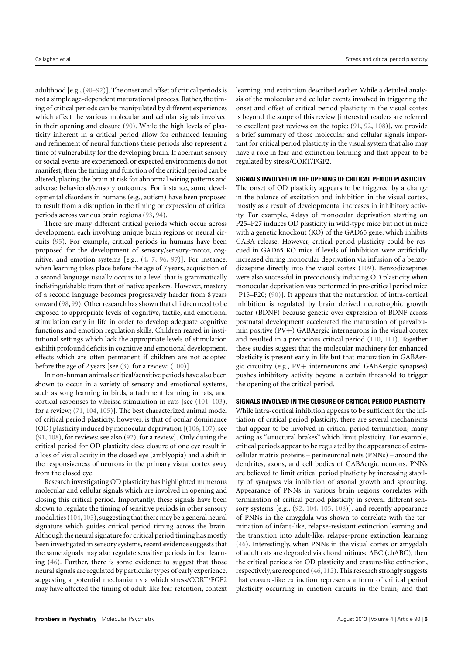adulthood [e.g., [\(90–](#page-12-19)[92\)](#page-12-20)]. The onset and offset of critical periods is not a simple age-dependent maturational process. Rather, the timing of critical periods can be manipulated by different experiences which affect the various molecular and cellular signals involved in their opening and closure [\(90\)](#page-12-19). While the high levels of plasticity inherent in a critical period allow for enhanced learning and refinement of neural functions these periods also represent a time of vulnerability for the developing brain. If aberrant sensory or social events are experienced, or expected environments do not manifest, then the timing and function of the critical period can be altered, placing the brain at risk for abnormal wiring patterns and adverse behavioral/sensory outcomes. For instance, some developmental disorders in humans (e.g., autism) have been proposed to result from a disruption in the timing or expression of critical periods across various brain regions [\(93,](#page-12-21) [94\)](#page-12-22).

There are many different critical periods which occur across development, each involving unique brain regions or neural circuits [\(95\)](#page-12-23). For example, critical periods in humans have been proposed for the development of sensory/sensory-motor, cognitive, and emotion systems [e.g., [\(4,](#page-10-16) [7,](#page-10-17) [96,](#page-12-24) [97\)](#page-12-25)]. For instance, when learning takes place before the age of 7 years, acquisition of a second language usually occurs to a level that is grammatically indistinguishable from that of native speakers. However, mastery of a second language becomes progressively harder from 8 years onward [\(98,](#page-12-26) [99\)](#page-12-27). Other research has shown that children need to be exposed to appropriate levels of cognitive, tactile, and emotional stimulation early in life in order to develop adequate cognitive functions and emotion regulation skills. Children reared in institutional settings which lack the appropriate levels of stimulation exhibit profound deficits in cognitive and emotional development, effects which are often permanent if children are not adopted before the age of 2 years [see  $(3)$ , for a review;  $(100)$ ].

In non-human animals critical/sensitive periods have also been shown to occur in a variety of sensory and emotional systems, such as song learning in birds, attachment learning in rats, and cortical responses to vibrissa stimulation in rats [see [\(101–](#page-12-29)[103\)](#page-12-30), for a review; [\(71,](#page-12-2) [104,](#page-12-31) [105\)](#page-12-32)]. The best characterized animal model of critical period plasticity, however, is that of ocular dominance (OD) plasticity induced by monocular deprivation [[\(106,](#page-12-33) [107\)](#page-12-34); see [\(91,](#page-12-35) [108\)](#page-13-0), for reviews; see also [\(92\)](#page-12-20), for a review]. Only during the critical period for OD plasticity does closure of one eye result in a loss of visual acuity in the closed eye (amblyopia) and a shift in the responsiveness of neurons in the primary visual cortex away from the closed eye.

Research investigating OD plasticity has highlighted numerous molecular and cellular signals which are involved in opening and closing this critical period. Importantly, these signals have been shown to regulate the timing of sensitive periods in other sensory modalities [\(104,](#page-12-31) [105\)](#page-12-32), suggesting that there may be a general neural signature which guides critical period timing across the brain. Although the neural signature for critical period timing has mostly been investigated in sensory systems, recent evidence suggests that the same signals may also regulate sensitive periods in fear learning [\(46\)](#page-11-20). Further, there is some evidence to suggest that those neural signals are regulated by particular types of early experience, suggesting a potential mechanism via which stress/CORT/FGF2 may have affected the timing of adult-like fear retention, context

learning, and extinction described earlier. While a detailed analysis of the molecular and cellular events involved in triggering the onset and offset of critical period plasticity in the visual cortex is beyond the scope of this review [interested readers are referred to excellent past reviews on the topic: [\(91,](#page-12-35) [92,](#page-12-20) [108\)](#page-13-0)], we provide a brief summary of those molecular and cellular signals important for critical period plasticity in the visual system that also may have a role in fear and extinction learning and that appear to be regulated by stress/CORT/FGF2.

## **SIGNALS INVOLVED IN THE OPENING OF CRITICAL PERIOD PLASTICITY**

The onset of OD plasticity appears to be triggered by a change in the balance of excitation and inhibition in the visual cortex, mostly as a result of developmental increases in inhibitory activity. For example, 4 days of monocular deprivation starting on P25–P27 induces OD plasticity in wild-type mice but not in mice with a genetic knockout (KO) of the GAD65 gene, which inhibits GABA release. However, critical period plasticity could be rescued in GAD65 KO mice if levels of inhibition were artificially increased during monocular deprivation via infusion of a benzodiazepine directly into the visual cortex [\(109\)](#page-13-1). Benzodiazepines were also successful in precociously inducing OD plasticity when monocular deprivation was performed in pre-critical period mice [P15–P20; [\(90\)](#page-12-19)]. It appears that the maturation of intra-cortical inhibition is regulated by brain derived neurotrophic growth factor (BDNF) because genetic over-expression of BDNF across postnatal development accelerated the maturation of parvalbumin positive (PV+) GABAergic interneurons in the visual cortex and resulted in a precocious critical period [\(110,](#page-13-2) [111\)](#page-13-3). Together these studies suggest that the molecular machinery for enhanced plasticity is present early in life but that maturation in GABAergic circuitry (e.g., PV+ interneurons and GABAergic synapses) pushes inhibitory activity beyond a certain threshold to trigger the opening of the critical period.

### **SIGNALS INVOLVED IN THE CLOSURE OF CRITICAL PERIOD PLASTICITY**

While intra-cortical inhibition appears to be sufficient for the initiation of critical period plasticity, there are several mechanisms that appear to be involved in critical period termination, many acting as "structural brakes" which limit plasticity. For example, critical periods appear to be regulated by the appearance of extracellular matrix proteins – perineuronal nets (PNNs) – around the dendrites, axons, and cell bodies of GABAergic neurons. PNNs are believed to limit critical period plasticity by increasing stability of synapses via inhibition of axonal growth and sprouting. Appearance of PNNs in various brain regions correlates with termination of critical period plasticity in several different sensory systems [e.g., [\(92,](#page-12-20) [104,](#page-12-31) [105,](#page-12-32) [108\)](#page-13-0)], and recently appearance of PNNs in the amygdala was shown to correlate with the termination of infant-like, relapse-resistant extinction learning and the transition into adult-like, relapse-prone extinction learning [\(46\)](#page-11-20). Interestingly, when PNNs in the visual cortex or amygdala of adult rats are degraded via chondroitinase ABC (chABC), then the critical periods for OD plasticity and erasure-like extinction, respectively, are reopened [\(46,](#page-11-20)[112\)](#page-13-4). This research strongly suggests that erasure-like extinction represents a form of critical period plasticity occurring in emotion circuits in the brain, and that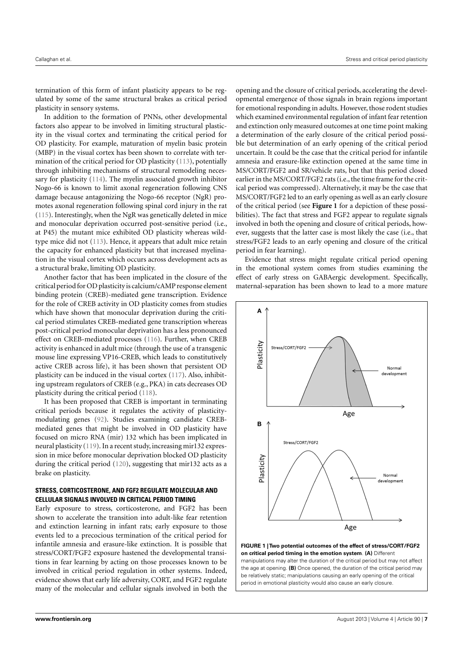termination of this form of infant plasticity appears to be regulated by some of the same structural brakes as critical period plasticity in sensory systems.

In addition to the formation of PNNs, other developmental factors also appear to be involved in limiting structural plasticity in the visual cortex and terminating the critical period for OD plasticity. For example, maturation of myelin basic protein (MBP) in the visual cortex has been shown to correlate with termination of the critical period for OD plasticity [\(113\)](#page-13-5), potentially through inhibiting mechanisms of structural remodeling necessary for plasticity [\(114\)](#page-13-6). The myelin associated growth inhibitor Nogo-66 is known to limit axonal regeneration following CNS damage because antagonizing the Nogo-66 receptor (NgR) promotes axonal regeneration following spinal cord injury in the rat [\(115\)](#page-13-7). Interestingly, when the NgR was genetically deleted in mice and monocular deprivation occurred post-sensitive period (i.e., at P45) the mutant mice exhibited OD plasticity whereas wildtype mice did not [\(113\)](#page-13-5). Hence, it appears that adult mice retain the capacity for enhanced plasticity but that increased myelination in the visual cortex which occurs across development acts as a structural brake, limiting OD plasticity.

Another factor that has been implicated in the closure of the critical period for OD plasticity is calcium/cAMP response element binding protein (CREB)-mediated gene transcription. Evidence for the role of CREB activity in OD plasticity comes from studies which have shown that monocular deprivation during the critical period stimulates CREB-mediated gene transcription whereas post-critical period monocular deprivation has a less pronounced effect on CREB-mediated processes [\(116\)](#page-13-8). Further, when CREB activity is enhanced in adult mice (through the use of a transgenic mouse line expressing VP16-CREB, which leads to constitutively active CREB across life), it has been shown that persistent OD plasticity can be induced in the visual cortex [\(117\)](#page-13-9). Also, inhibiting upstream regulators of CREB (e.g., PKA) in cats decreases OD plasticity during the critical period [\(118\)](#page-13-10).

It has been proposed that CREB is important in terminating critical periods because it regulates the activity of plasticitymodulating genes [\(92\)](#page-12-20). Studies examining candidate CREBmediated genes that might be involved in OD plasticity have focused on micro RNA (mir) 132 which has been implicated in neural plasticity [\(119\)](#page-13-11). In a recent study, increasing mir132 expression in mice before monocular deprivation blocked OD plasticity during the critical period [\(120\)](#page-13-12), suggesting that mir132 acts as a brake on plasticity.

# **STRESS, CORTICOSTERONE, AND FGF2 REGULATE MOLECULAR AND CELLULAR SIGNALS INVOLVED IN CRITICAL PERIOD TIMING**

Early exposure to stress, corticosterone, and FGF2 has been shown to accelerate the transition into adult-like fear retention and extinction learning in infant rats; early exposure to those events led to a precocious termination of the critical period for infantile amnesia and erasure-like extinction. It is possible that stress/CORT/FGF2 exposure hastened the developmental transitions in fear learning by acting on those processes known to be involved in critical period regulation in other systems. Indeed, evidence shows that early life adversity, CORT, and FGF2 regulate many of the molecular and cellular signals involved in both the

opening and the closure of critical periods, accelerating the developmental emergence of those signals in brain regions important for emotional responding in adults. However, those rodent studies which examined environmental regulation of infant fear retention and extinction only measured outcomes at one time point making a determination of the early closure of the critical period possible but determination of an early opening of the critical period uncertain. It could be the case that the critical period for infantile amnesia and erasure-like extinction opened at the same time in MS/CORT/FGF2 and SR/vehicle rats, but that this period closed earlier in the MS/CORT/FGF2 rats (i.e., the time frame for the critical period was compressed). Alternatively, it may be the case that MS/CORT/FGF2 led to an early opening as well as an early closure of the critical period (see **[Figure 1](#page-6-0)** for a depiction of these possibilities). The fact that stress and FGF2 appear to regulate signals involved in both the opening and closure of critical periods, however, suggests that the latter case is most likely the case (i.e., that stress/FGF2 leads to an early opening and closure of the critical period in fear learning).

Evidence that stress might regulate critical period opening in the emotional system comes from studies examining the effect of early stress on GABAergic development. Specifically, maternal-separation has been shown to lead to a more mature



<span id="page-6-0"></span>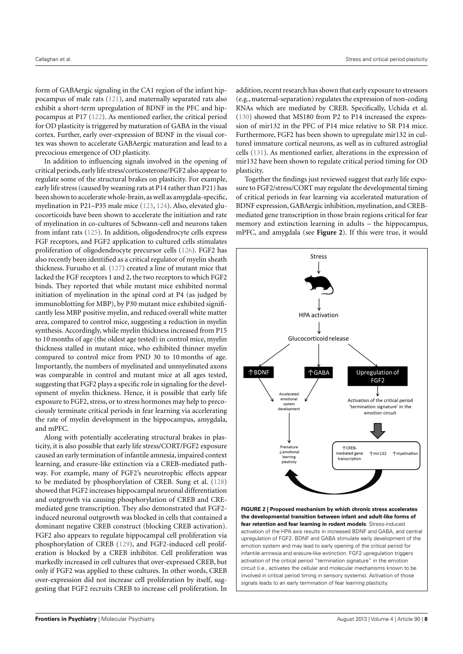form of GABAergic signaling in the CA1 region of the infant hippocampus of male rats [\(121\)](#page-13-13), and maternally separated rats also exhibit a short-term upregulation of BDNF in the PFC and hippocampus at P17 [\(122\)](#page-13-14). As mentioned earlier, the critical period for OD plasticity is triggered by maturation of GABA in the visual cortex. Further, early over-expression of BDNF in the visual cortex was shown to accelerate GABAergic maturation and lead to a precocious emergence of OD plasticity.

In addition to influencing signals involved in the opening of critical periods, early life stress/corticosterone/FGF2 also appear to regulate some of the structural brakes on plasticity. For example, early life stress (caused by weaning rats at P14 rather than P21) has been shown to accelerate whole-brain, as well as amygdala-specific, myelination in P21–P35 male mice [\(123,](#page-13-15) [124\)](#page-13-16). Also, elevated glucocorticoids have been shown to accelerate the initiation and rate of myelination in co-cultures of Schwann-cell and neurons taken from infant rats [\(125\)](#page-13-17). In addition, oligodendrocyte cells express FGF receptors, and FGF2 application to cultured cells stimulates proliferation of oligodendrocyte precursor cells [\(126\)](#page-13-18). FGF2 has also recently been identified as a critical regulator of myelin sheath thickness. Furusho et al. [\(127\)](#page-13-19) created a line of mutant mice that lacked the FGF receptors 1 and 2, the two receptors to which FGF2 binds. They reported that while mutant mice exhibited normal initiation of myelination in the spinal cord at P4 (as judged by immunoblotting for MBP), by P30 mutant mice exhibited significantly less MBP positive myelin, and reduced overall white matter area, compared to control mice, suggesting a reduction in myelin synthesis. Accordingly, while myelin thickness increased from P15 to 10 months of age (the oldest age tested) in control mice, myelin thickness stalled in mutant mice, who exhibited thinner myelin compared to control mice from PND 30 to 10 months of age. Importantly, the numbers of myelinated and unmyelinated axons was comparable in control and mutant mice at all ages tested, suggesting that FGF2 plays a specific role in signaling for the development of myelin thickness. Hence, it is possible that early life exposure to FGF2, stress, or to stress hormones may help to precociously terminate critical periods in fear learning via accelerating the rate of myelin development in the hippocampus, amygdala, and mPFC.

Along with potentially accelerating structural brakes in plasticity, it is also possible that early life stress/CORT/FGF2 exposure caused an early termination of infantile amnesia, impaired context learning, and erasure-like extinction via a CREB-mediated pathway. For example, many of FGF2's neurotrophic effects appear to be mediated by phosphorylation of CREB. Sung et al. [\(128\)](#page-13-20) showed that FGF2 increases hippocampal neuronal differentiation and outgrowth via causing phosphorylation of CREB and CREmediated gene transcription. They also demonstrated that FGF2 induced neuronal outgrowth was blocked in cells that contained a dominant negative CREB construct (blocking CREB activation). FGF2 also appears to regulate hippocampal cell proliferation via phosphorylation of CREB [\(129\)](#page-13-21), and FGF2-induced cell proliferation is blocked by a CREB inhibitor. Cell proliferation was markedly increased in cell cultures that over-expressed CREB, but only if FGF2 was applied to these cultures. In other words, CREB over-expression did not increase cell proliferation by itself, suggesting that FGF2 recruits CREB to increase cell proliferation. In

addition, recent research has shown that early exposure to stressors (e.g., maternal-separation) regulates the expression of non-coding RNAs which are mediated by CREB. Specifically, Uchida et al. [\(130\)](#page-13-22) showed that MS180 from P2 to P14 increased the expression of mir132 in the PFC of P14 mice relative to SR P14 mice. Furthermore, FGF2 has been shown to upregulate mir132 in cultured immature cortical neurons, as well as in cultured astroglial cells [\(131\)](#page-13-23). As mentioned earlier, alterations in the expression of mir132 have been shown to regulate critical period timing for OD plasticity.

Together the findings just reviewed suggest that early life exposure to FGF2/stress/CORT may regulate the developmental timing of critical periods in fear learning via accelerated maturation of BDNF expression, GABAergic inhibition, myelination, and CREBmediated gene transcription in those brain regions critical for fear memory and extinction learning in adults – the hippocampus, mPFC, and amygdala (see **[Figure 2](#page-7-0)**). If this were true, it would



<span id="page-7-0"></span>activation of the HPA axis results in increased BDNF and GABA, and central upregulation of FGF2. BDNF and GABA stimulate early development of the emotion system and may lead to early opening of the critical period for infantile amnesia and erasure-like extinction. FGF2 upregulation triggers activation of the critical period "termination signature" in the emotion circuit (i.e., activates the cellular and molecular mechanisms known to be involved in critical period timing in sensory systems). Activation of those signals leads to an early termination of fear learning plasticity.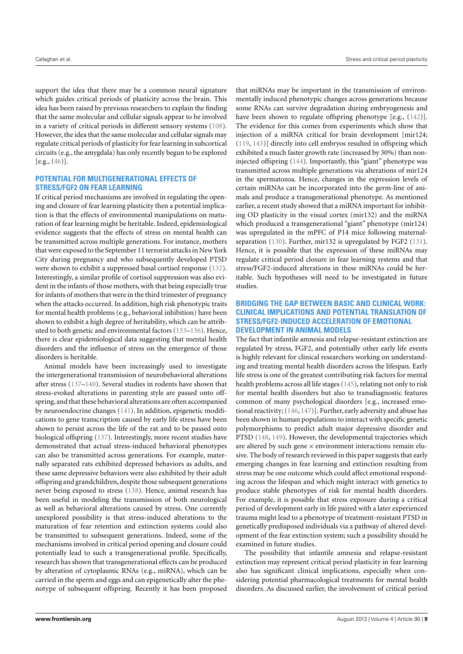support the idea that there may be a common neural signature which guides critical periods of plasticity across the brain. This idea has been raised by previous researchers to explain the finding that the same molecular and cellular signals appear to be involved in a variety of critical periods in different sensory systems [\(108\)](#page-13-0). However, the idea that the same molecular and cellular signals may regulate critical periods of plasticity for fear learning in subcortical circuits (e.g., the amygdala) has only recently begun to be explored  $[e.g., (46)].$  $[e.g., (46)].$  $[e.g., (46)].$ 

# **POTENTIAL FOR MULTIGENERATIONAL EFFECTS OF STRESS/FGF2 ON FEAR LEARNING**

If critical period mechanisms are involved in regulating the opening and closure of fear learning plasticity then a potential implication is that the effects of environmental manipulations on maturation of fear learning might be heritable. Indeed, epidemiological evidence suggests that the effects of stress on mental health can be transmitted across multiple generations. For instance, mothers that were exposed to the September 11 terrorist attacks in NewYork City during pregnancy and who subsequently developed PTSD were shown to exhibit a suppressed basal cortisol response [\(132\)](#page-13-24). Interestingly, a similar profile of cortisol suppression was also evident in the infants of those mothers, with that being especially true for infants of mothers that were in the third trimester of pregnancy when the attacks occurred. In addition, high risk phenotypic traits for mental health problems (e.g., behavioral inhibition) have been shown to exhibit a high degree of heritability, which can be attributed to both genetic and environmental factors [\(133–](#page-13-25)[136\)](#page-13-26). Hence, there is clear epidemiological data suggesting that mental health disorders and the influence of stress on the emergence of those disorders is heritable.

Animal models have been increasingly used to investigate the intergenerational transmission of neurobehavioral alterations after stress [\(137–](#page-13-27)[140\)](#page-13-28). Several studies in rodents have shown that stress-evoked alterations in parenting style are passed onto offspring, and that these behavioral alterations are often accompanied by neuroendocrine changes [\(141\)](#page-13-29). In addition, epigenetic modifications to gene transcription caused by early life stress have been shown to persist across the life of the rat and to be passed onto biological offspring [\(137\)](#page-13-27). Interestingly, more recent studies have demonstrated that actual stress-induced behavioral phenotypes can also be transmitted across generations. For example, maternally separated rats exhibited depressed behaviors as adults, and these same depressive behaviors were also exhibited by their adult offspring and grandchildren, despite those subsequent generations never being exposed to stress [\(138\)](#page-13-30). Hence, animal research has been useful in modeling the transmission of both neurological as well as behavioral alterations caused by stress. One currently unexplored possibility is that stress-induced alterations to the maturation of fear retention and extinction systems could also be transmitted to subsequent generations. Indeed, some of the mechanisms involved in critical period opening and closure could potentially lead to such a transgenerational profile. Specifically, research has shown that transgenerational effects can be produced by alteration of cytoplasmic RNAs (e.g., miRNA), which can be carried in the sperm and eggs and can epigenetically alter the phenotype of subsequent offspring. Recently it has been proposed

that miRNAs may be important in the transmission of environmentally induced phenotypic changes across generations because some RNAs can survive degradation during embryogenesis and have been shown to regulate offspring phenotype [e.g., [\(142\)](#page-13-31)]. The evidence for this comes from experiments which show that injection of a miRNA critical for brain development [mir124; [\(119,](#page-13-11) [143\)](#page-13-32)] directly into cell embryos resulted in offspring which exhibited a much faster growth rate (increased by 30%) than noninjected offspring [\(144\)](#page-13-33). Importantly, this "giant" phenotype was transmitted across multiple generations via alterations of mir124 in the spermatozoa. Hence, changes in the expression levels of certain miRNAs can be incorporated into the germ-line of animals and produce a transgenerational phenotype. As mentioned earlier, a recent study showed that a miRNA important for inhibiting OD plasticity in the visual cortex (mir132) and the miRNA which produced a transgenerational "giant" phenotype (mir124) was upregulated in the mPFC of P14 mice following maternalseparation [\(130\)](#page-13-22). Further, mir132 is upregulated by FGF2 [\(131\)](#page-13-23). Hence, it is possible that the expression of these miRNAs may regulate critical period closure in fear learning systems and that stress/FGF2-induced alterations in these miRNAs could be heritable. Such hypotheses will need to be investigated in future studies.

# **BRIDGING THE GAP BETWEEN BASIC AND CLINICAL WORK: CLINICAL IMPLICATIONS AND POTENTIAL TRANSLATION OF STRESS/FGF2-INDUCED ACCELERATION OF EMOTIONAL DEVELOPMENT IN ANIMAL MODELS**

The fact that infantile amnesia and relapse-resistant extinction are regulated by stress, FGF2, and potentially other early life events is highly relevant for clinical researchers working on understanding and treating mental health disorders across the lifespan. Early life stress is one of the greatest contributing risk factors for mental health problems across all life stages [\(145\)](#page-13-34), relating not only to risk for mental health disorders but also to transdiagnostic features common of many psychological disorders [e.g., increased emotional reactivity; [\(146,](#page-13-35) [147\)](#page-14-0)]. Further, early adversity and abuse has been shown in human populations to interact with specific genetic polymorphisms to predict adult major depressive disorder and PTSD [\(148,](#page-14-1) [149\)](#page-14-2). However, the developmental trajectories which are altered by such gene  $\times$  environment interactions remain elusive. The body of research reviewed in this paper suggests that early emerging changes in fear learning and extinction resulting from stress may be one outcome which could affect emotional responding across the lifespan and which might interact with genetics to produce stable phenotypes of risk for mental health disorders. For example, it is possible that stress exposure during a critical period of development early in life paired with a later experienced trauma might lead to a phenotype of treatment-resistant PTSD in genetically predisposed individuals via a pathway of altered development of the fear extinction system; such a possibility should be examined in future studies.

The possibility that infantile amnesia and relapse-resistant extinction may represent critical period plasticity in fear learning also has significant clinical implications, especially when considering potential pharmacological treatments for mental health disorders. As discussed earlier, the involvement of critical period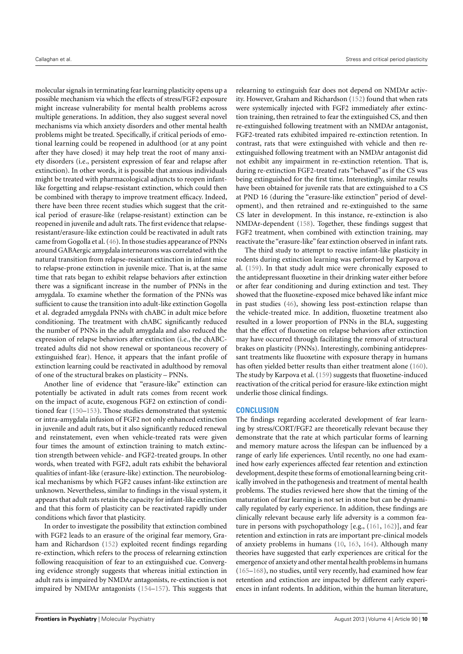molecular signals in terminating fear learning plasticity opens up a possible mechanism via which the effects of stress/FGF2 exposure might increase vulnerability for mental health problems across multiple generations. In addition, they also suggest several novel mechanisms via which anxiety disorders and other mental health problems might be treated. Specifically, if critical periods of emotional learning could be reopened in adulthood (or at any point after they have closed) it may help treat the root of many anxiety disorders (i.e., persistent expression of fear and relapse after extinction). In other words, it is possible that anxious individuals might be treated with pharmacological adjuncts to reopen infantlike forgetting and relapse-resistant extinction, which could then be combined with therapy to improve treatment efficacy. Indeed, there have been three recent studies which suggest that the critical period of erasure-like (relapse-resistant) extinction can be reopened in juvenile and adult rats. The first evidence that relapseresistant/erasure-like extinction could be reactivated in adult rats came from Gogolla et al. [\(46\)](#page-11-20). In those studies appearance of PNNs around GABAergic amygdala interneurons was correlated with the natural transition from relapse-resistant extinction in infant mice to relapse-prone extinction in juvenile mice. That is, at the same time that rats began to exhibit relapse behaviors after extinction there was a significant increase in the number of PNNs in the amygdala. To examine whether the formation of the PNNs was sufficient to cause the transition into adult-like extinction Gogolla et al. degraded amygdala PNNs with chABC in adult mice before conditioning. The treatment with chABC significantly reduced the number of PNNs in the adult amygdala and also reduced the expression of relapse behaviors after extinction (i.e., the chABCtreated adults did not show renewal or spontaneous recovery of extinguished fear). Hence, it appears that the infant profile of extinction learning could be reactivated in adulthood by removal of one of the structural brakes on plasticity – PNNs.

Another line of evidence that "erasure-like" extinction can potentially be activated in adult rats comes from recent work on the impact of acute, exogenous FGF2 on extinction of conditioned fear [\(150](#page-14-3)[–153\)](#page-14-4). Those studies demonstrated that systemic or intra-amygdala infusion of FGF2 not only enhanced extinction in juvenile and adult rats, but it also significantly reduced renewal and reinstatement, even when vehicle-treated rats were given four times the amount of extinction training to match extinction strength between vehicle- and FGF2-treated groups. In other words, when treated with FGF2, adult rats exhibit the behavioral qualities of infant-like (erasure-like) extinction. The neurobiological mechanisms by which FGF2 causes infant-like extinction are unknown. Nevertheless, similar to findings in the visual system, it appears that adult rats retain the capacity for infant-like extinction and that this form of plasticity can be reactivated rapidly under conditions which favor that plasticity.

In order to investigate the possibility that extinction combined with FGF2 leads to an erasure of the original fear memory, Graham and Richardson [\(152\)](#page-14-5) exploited recent findings regarding re-extinction, which refers to the process of relearning extinction following reacquisition of fear to an extinguished cue. Converging evidence strongly suggests that whereas initial extinction in adult rats is impaired by NMDAr antagonists, re-extinction is not impaired by NMDAr antagonists [\(154–](#page-14-6)[157\)](#page-14-7). This suggests that

relearning to extinguish fear does not depend on NMDAr activity. However, Graham and Richardson [\(152\)](#page-14-5) found that when rats were systemically injected with FGF2 immediately after extinction training, then retrained to fear the extinguished CS, and then re-extinguished following treatment with an NMDAr antagonist, FGF2-treated rats exhibited impaired re-extinction retention. In contrast, rats that were extinguished with vehicle and then reextinguished following treatment with an NMDAr antagonist did not exhibit any impairment in re-extinction retention. That is, during re-extinction FGF2-treated rats "behaved" as if the CS was being extinguished for the first time. Interestingly, similar results have been obtained for juvenile rats that are extinguished to a CS at PND 16 (during the "erasure-like extinction" period of development), and then retrained and re-extinguished to the same CS later in development. In this instance, re-extinction is also NMDAr-dependent [\(158\)](#page-14-8). Together, these findings suggest that FGF2 treatment, when combined with extinction training, may reactivate the "erasure-like" fear extinction observed in infant rats.

The third study to attempt to reactive infant-like plasticity in rodents during extinction learning was performed by Karpova et al. [\(159\)](#page-14-9). In that study adult mice were chronically exposed to the antidepressant fluoxetine in their drinking water either before or after fear conditioning and during extinction and test. They showed that the fluoxetine-exposed mice behaved like infant mice in past studies [\(46\)](#page-11-20), showing less post-extinction relapse than the vehicle-treated mice. In addition, fluoxetine treatment also resulted in a lower proportion of PNNs in the BLA, suggesting that the effect of fluoxetine on relapse behaviors after extinction may have occurred through facilitating the removal of structural brakes on plasticity (PNNs). Interestingly, combining antidepressant treatments like fluoxetine with exposure therapy in humans has often yielded better results than either treatment alone [\(160\)](#page-14-10). The study by Karpova et al. [\(159\)](#page-14-9) suggests that fluoxetine-induced reactivation of the critical period for erasure-like extinction might underlie those clinical findings.

# **CONCLUSION**

The findings regarding accelerated development of fear learning by stress/CORT/FGF2 are theoretically relevant because they demonstrate that the rate at which particular forms of learning and memory mature across the lifespan can be influenced by a range of early life experiences. Until recently, no one had examined how early experiences affected fear retention and extinction development, despite these forms of emotional learning being critically involved in the pathogenesis and treatment of mental health problems. The studies reviewed here show that the timing of the maturation of fear learning is not set in stone but can be dynamically regulated by early experience. In addition, these findings are clinically relevant because early life adversity is a common feature in persons with psychopathology [e.g., [\(161,](#page-14-11) [162\)](#page-14-12)], and fear retention and extinction in rats are important pre-clinical models of anxiety problems in humans [\(10,](#page-10-6) [163,](#page-14-13) [164\)](#page-14-14). Although many theories have suggested that early experiences are critical for the emergence of anxiety and other mental health problems in humans [\(165–](#page-14-15)[168\)](#page-14-16), no studies, until very recently, had examined how fear retention and extinction are impacted by different early experiences in infant rodents. In addition, within the human literature,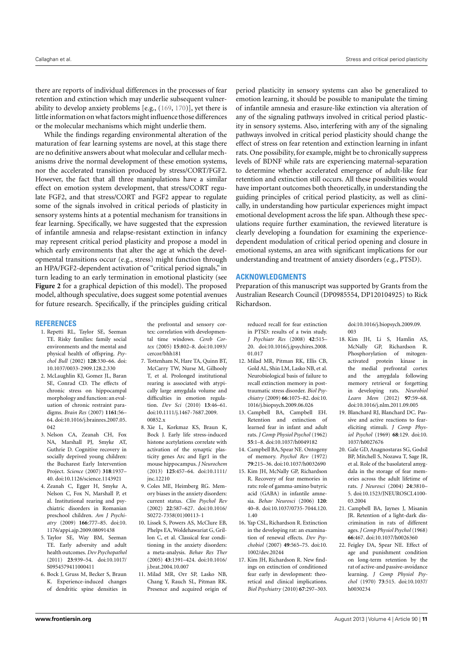there are reports of individual differences in the processes of fear retention and extinction which may underlie subsequent vulnerability to develop anxiety problems [e.g., [\(169,](#page-14-17) [170\)](#page-14-18)], yet there is little information on what factors might influence those differences or the molecular mechanisms which might underlie them.

While the findings regarding environmental alteration of the maturation of fear learning systems are novel, at this stage there are no definitive answers about what molecular and cellular mechanisms drive the normal development of these emotion systems, nor the accelerated transition produced by stress/CORT/FGF2. However, the fact that all three manipulations have a similar effect on emotion system development, that stress/CORT regulate FGF2, and that stress/CORT and FGF2 appear to regulate some of the signals involved in critical periods of plasticity in sensory systems hints at a potential mechanism for transitions in fear learning. Specifically, we have suggested that the expression of infantile amnesia and relapse-resistant extinction in infancy may represent critical period plasticity and propose a model in which early environments that alter the age at which the developmental transitions occur (e.g., stress) might function through an HPA/FGF2-dependent activation of "critical period signals," in turn leading to an early termination in emotional plasticity (see **[Figure 2](#page-7-0)** for a graphical depiction of this model). The proposed model, although speculative, does suggest some potential avenues for future research. Specifically, if the principles guiding critical

### **REFERENCES**

- <span id="page-10-0"></span>1. Repetti RL, Taylor SE, Seeman TE. Risky families: family social environments and the mental and physical health of offspring. *Psychol Bull* (2002) **128**:330–66. doi: [10.1037/0033-2909.128.2.330](http://dx.doi.org/10.1037/0033-2909.128.2.330)
- 2. McLaughlin KJ, Gomez JL, Baran SE, Conrad CD. The effects of chronic stress on hippocampal morphology and function: an evaluation of chronic restraint paradigms. *Brain Res* (2007) **1161**:56– 64. doi[:10.1016/j.brainres.2007.05.](http://dx.doi.org/10.1016/j.brainres.2007.05.042) [042](http://dx.doi.org/10.1016/j.brainres.2007.05.042)
- <span id="page-10-2"></span>3. Nelson CA, Zeanah CH, Fox NA, Marshall PJ, Smyke AT, Guthrie D. Cognitive recovery in socially deprived young children: the Bucharest Early Intervention Project. *Science* (2007) **318**:1937– 40. doi[:10.1126/science.1143921](http://dx.doi.org/10.1126/science.1143921)
- <span id="page-10-16"></span>4. Zeanah C, Egger H, Smyke A, Nelson C, Fox N, Marshall P, et al. Institutional rearing and psychiatric disorders in Romanian preschool children. *Am J Psychiatry* (2009) **166**:777–85. doi[:10.](http://dx.doi.org/10.1176/appi.ajp.2009.08091438) [1176/appi.ajp.2009.08091438](http://dx.doi.org/10.1176/appi.ajp.2009.08091438)
- <span id="page-10-1"></span>5. Taylor SE, Way BM, Seeman TE. Early adversity and adult health outcomes. *Dev Psychopathol* (2011) **23**:939–54. doi[:10.1017/](http://dx.doi.org/10.1017/S0954579411000411) [S0954579411000411](http://dx.doi.org/10.1017/S0954579411000411)
- <span id="page-10-3"></span>6. Bock J, Gruss M, Becker S, Braun K. Experience-induced changes of dendritic spine densities in

the prefrontal and sensory cortex: correlation with developmental time windows. *Cereb Cortex* (2005) **15**:802–8. doi[:10.1093/](http://dx.doi.org/10.1093/cercor/bhh181) [cercor/bhh181](http://dx.doi.org/10.1093/cercor/bhh181)

- <span id="page-10-17"></span>7. Tottenham N, Hare TA, Quinn BT, McCarry TW, Nurse M, Gilhooly T, et al. Prolonged institutional rearing is associated with atypically large amygdala volume and difficulties in emotion regulation. *Dev Sci* (2010) **13**:46–61. doi[:10.1111/j.1467-7687.2009.](http://dx.doi.org/10.1111/j.1467-7687.2009.00852.x) 00852 x
- <span id="page-10-4"></span>8. Xie L, Korkmaz KS, Braun K, Bock J. Early life stress-induced histone acetylations correlate with activation of the synaptic plasticity genes Arc and Egr1 in the mouse hippocampus. *J Neurochem* (2013) **125**:457–64. doi[:10.1111/](http://dx.doi.org/10.1111/jnc.12210) [jnc.12210](http://dx.doi.org/10.1111/jnc.12210)
- <span id="page-10-5"></span>9. Coles ME, Heimberg RG. Memory biases in the anxiety disorders: current status. *Clin Psychol Rev* (2002) **22**:587–627. doi[:10.1016/](http://dx.doi.org/10.1016/S0272-7358(01)00113-1) [S0272-7358\(01\)00113-1](http://dx.doi.org/10.1016/S0272-7358(01)00113-1)
- <span id="page-10-6"></span>10. Lissek S, Powers AS, McClure EB, Phelps EA, Woldehawariat G, Grillon C, et al. Classical fear conditioning in the anxiety disorders: a meta-analysis. *Behav Res Ther* (2005) **43**:1391–424. doi[:10.1016/](http://dx.doi.org/10.1016/j.brat.2004.10.007) [j.brat.2004.10.007](http://dx.doi.org/10.1016/j.brat.2004.10.007)
- 11. Milad MR, Orr SP, Lasko NB, Chang Y, Rauch SL, Pitman RK. Presence and acquired origin of

period plasticity in sensory systems can also be generalized to emotion learning, it should be possible to manipulate the timing of infantile amnesia and erasure-like extinction via alteration of any of the signaling pathways involved in critical period plasticity in sensory systems. Also, interfering with any of the signaling pathways involved in critical period plasticity should change the effect of stress on fear retention and extinction learning in infant rats. One possibility, for example, might be to chronically suppress levels of BDNF while rats are experiencing maternal-separation to determine whether accelerated emergence of adult-like fear retention and extinction still occurs. All these possibilities would have important outcomes both theoretically, in understanding the guiding principles of critical period plasticity, as well as clinically, in understanding how particular experiences might impact emotional development across the life span. Although these speculations require further examination, the reviewed literature is clearly developing a foundation for examining the experiencedependent modulation of critical period opening and closure in emotional systems, an area with significant implications for our understanding and treatment of anxiety disorders (e.g., PTSD).

### **ACKNOWLEDGMENTS**

Preparation of this manuscript was supported by Grants from the Australian Research Council (DP0985554, DP120104925) to Rick Richardson.

reduced recall for fear extinction in PTSD: results of a twin study. *J Psychiatr Res* (2008) **42**:515– 20. doi[:10.1016/j.jpsychires.2008.](http://dx.doi.org/10.1016/j.jpsychires.2008.01.017) [01.017](http://dx.doi.org/10.1016/j.jpsychires.2008.01.017)

- <span id="page-10-7"></span>12. Milad MR, Pitman RK, Ellis CB, Gold AL, Shin LM, Lasko NB, et al. Neurobiological basis of failure to recall extinction memory in posttraumatic stress disorder. *Biol Psychiatry* (2009) **66**:1075–82. doi[:10.](http://dx.doi.org/10.1016/j.biopsych.2009.06.026) [1016/j.biopsych.2009.06.026](http://dx.doi.org/10.1016/j.biopsych.2009.06.026)
- <span id="page-10-8"></span>13. Campbell BA, Campbell EH. Retention and extinction of learned fear in infant and adult rats. *J Comp Physiol Psychol* (1962) **55**:1–8. doi[:10.1037/h0049182](http://dx.doi.org/10.1037/h0049182)
- 14. Campbell BA, Spear NE. Ontogeny of memory. *Psychol Rev* (1972) **79**:215–36. doi[:10.1037/h0032690](http://dx.doi.org/10.1037/h0032690)
- <span id="page-10-14"></span>15. Kim JH, McNally GP, Richardson R. Recovery of fear memories in rats: role of gamma-amino butyric acid (GABA) in infantile amnesia. *Behav Neurosci* (2006) **120**: 40–8. doi[:10.1037/0735-7044.120.](http://dx.doi.org/10.1037/0735-7044.120.1.40) [1.40](http://dx.doi.org/10.1037/0735-7044.120.1.40)
- <span id="page-10-15"></span>16. Yap CSL, Richardson R. Extinction in the developing rat: an examination of renewal effects. *Dev Psychobiol* (2007) **49**:565–75. doi[:10.](http://dx.doi.org/10.1002/dev.20244) [1002/dev.20244](http://dx.doi.org/10.1002/dev.20244)
- 17. Kim JH, Richardson R. New findings on extinction of conditioned fear early in development: theoretical and clinical implications. *Biol Psychiatry* (2010) **67**:297–303.

doi[:10.1016/j.biopsych.2009.09.](http://dx.doi.org/10.1016/j.biopsych.2009.09.003) [003](http://dx.doi.org/10.1016/j.biopsych.2009.09.003)

- <span id="page-10-9"></span>18. Kim JH, Li S, Hamlin AS, McNally GP, Richardson R. Phosphorylation of mitogenactivated protein kinase in the medial prefrontal cortex and the amygdala following memory retrieval or forgetting in developing rats. *Neurobiol Learn Mem* (2012) **97**:59–68. doi[:10.1016/j.nlm.2011.09.005](http://dx.doi.org/10.1016/j.nlm.2011.09.005)
- <span id="page-10-10"></span>19. Blanchard RJ, Blanchard DC. Passive and active reactions to feareliciting stimuli. *J Comp Physiol Psychol* (1969) **68**:129. doi[:10.](http://dx.doi.org/10.1037/h0027676) [1037/h0027676](http://dx.doi.org/10.1037/h0027676)
- <span id="page-10-11"></span>20. Gale GD, Anagnostaras SG, Godsil BP, Mitchell S, Nozawa T, Sage JR, et al. Role of the basolateral amygdala in the storage of fear memories across the adult lifetime of rats. *J Neurosci* (2004) **24**:3810– 5. doi[:10.1523/JNEUROSCI.4100-](http://dx.doi.org/10.1523/JNEUROSCI.4100-03.2004) [03.2004](http://dx.doi.org/10.1523/JNEUROSCI.4100-03.2004)
- <span id="page-10-12"></span>21. Campbell BA, Jaynes J, Misanin JR. Retention of a light-dark discrimination in rats of different ages.*J Comp Physiol Psychol* (1968) **66**:467. doi[:10.1037/h0026360](http://dx.doi.org/10.1037/h0026360)
- <span id="page-10-13"></span>22. Feigley DA, Spear NE. Effect of age and punishment condition on long-term retention by the rat of active-and passive-avoidance learning. *J Comp Physiol Psychol* (1970) **73**:515. doi[:10.1037/](http://dx.doi.org/10.1037/h0030234) [h0030234](http://dx.doi.org/10.1037/h0030234)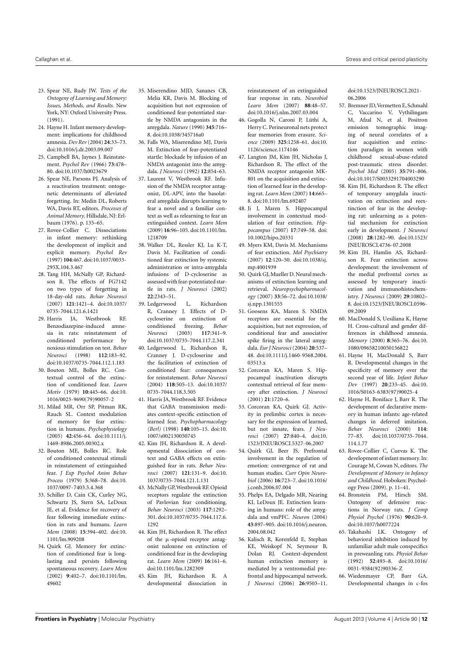- <span id="page-11-0"></span>23. Spear NE, Rudy JW. *Tests of the Ontogeny of Learning and Memory: Issues, Methods, and Results*. New York, NY: Oxford University Press. (1991).
- <span id="page-11-1"></span>24. Hayne H. Infant memory development: implications for childhood amnesia. *Dev Rev* (2004) **24**:33–73. doi[:10.1016/j.dr.2003.09.007](http://dx.doi.org/10.1016/j.dr.2003.09.007)
- <span id="page-11-2"></span>25. Campbell BA, Jaynes J. Reinstatement. *Psychol Rev* (1966) **73**:478– 80. doi[:10.1037/h0023679](http://dx.doi.org/10.1037/h0023679)
- 26. Spear NE, Parsons PJ. Analysis of a reactivation treatment: ontogenetic determinants of alleviated forgetting. In: Medin DL, Roberts WA, Davis RT, editors. *Processes of Animal Memory*. Hillsdale, NJ: Erlbaum (1976). p. 135–65.
- <span id="page-11-3"></span>27. Rovee-Collier C. Dissociations in infant memory: rethinking the development of implicit and explicit memory. *Psychol Rev* (1997) **104**:467. doi[:10.1037/0033-](http://dx.doi.org/10.1037/0033-295X.104.3.467) [295X.104.3.467](http://dx.doi.org/10.1037/0033-295X.104.3.467)
- <span id="page-11-4"></span>28. Tang HH, McNally GP, Richardson R. The effects of FG7142 on two types of forgetting in 18-day-old rats. *Behav Neurosci* (2007) **121**:1421–4. doi[:10.1037/](http://dx.doi.org/10.1037/0735-7044.121.6.1421) [0735-7044.121.6.1421](http://dx.doi.org/10.1037/0735-7044.121.6.1421)
- <span id="page-11-5"></span>29. Harris JA, Westbrook RF. Benzodiazepine-induced amnesia in rats: reinstatement of conditioned performance by noxious stimulation on test. *Behav Neurosci* (1998) **112**:183–92. doi[:10.1037/0735-7044.112.1.183](http://dx.doi.org/10.1037/0735-7044.112.1.183)
- <span id="page-11-6"></span>30. Bouton ME, Bolles RC. Contextual control of the extinction of conditioned fear. *Learn Motiv* (1979) **10**:445–66. doi[:10.](http://dx.doi.org/10.1016/0023-9690(79)90057-2) [1016/0023-9690\(79\)90057-2](http://dx.doi.org/10.1016/0023-9690(79)90057-2)
- <span id="page-11-7"></span>31. Milad MR, Orr SP, Pitman RK, Rauch SL. Context modulation of memory for fear extinction in humans. *Psychophysiology* (2005) **42**:456–64. doi[:10.1111/j.](http://dx.doi.org/10.1111/j.1469-8986.2005.00302.x) [1469-8986.2005.00302.x](http://dx.doi.org/10.1111/j.1469-8986.2005.00302.x)
- <span id="page-11-8"></span>32. Bouton ME, Bolles RC. Role of conditioned contextual stimuli in reinstatement of extinguished fear. *J Exp Psychol Anim Behav Process* (1979) **5**:368–78. doi[:10.](http://dx.doi.org/10.1037/0097-7403.5.4.368) [1037/0097-7403.5.4.368](http://dx.doi.org/10.1037/0097-7403.5.4.368)
- <span id="page-11-9"></span>33. Schiller D, Cain CK, Curley NG, Schwartz JS, Stern SA, LeDoux JE, et al. Evidence for recovery of fear following immediate extinction in rats and humans. *Learn Mem* (2008) **15**:394–402. doi[:10.](http://dx.doi.org/10.1101/lm.909208) [1101/lm.909208](http://dx.doi.org/10.1101/lm.909208)
- <span id="page-11-10"></span>34. Quirk GJ. Memory for extinction of conditioned fear is longlasting and persists following spontaneous recovery. *Learn Mem* (2002) **9**:402–7. doi[:10.1101/lm.](http://dx.doi.org/10.1101/lm.49602) [49602](http://dx.doi.org/10.1101/lm.49602)
- <span id="page-11-11"></span>35. Miserendino MJD, Sananes CB, Melia KR, Davis M. Blocking of acquisition but not expression of conditioned fear-potentiated startle by NMDA antagonists in the amygdala. *Nature* (1990) **345**:716– 8. doi[:10.1038/345716a0](http://dx.doi.org/10.1038/345716a0)
- 36. Falls WA, Miserendino MJ, Davis M. Extinction of fear-potentiated startle: blockade by infusion of an NMDA antagonist into the amygdala. *J Neurosci* (1992) **12**:854–63.
- <span id="page-11-12"></span>37. Laurent V, Westbrook RF. Infusion of the NMDA receptor antagonist, DL-APV, into the basolateral amygdala disrupts learning to fear a novel and a familiar context as well as relearning to fear an extinguished context. *Learn Mem* (2009) **16**:96–105. doi[:10.1101/lm.](http://dx.doi.org/10.1101/lm.1218709) [1218709](http://dx.doi.org/10.1101/lm.1218709)
- <span id="page-11-13"></span>38. Walker DL, Ressler KJ, Lu K-T, Davis M. Facilitation of conditioned fear extinction by systemic administration or intra-amygdala infusions of D-cycloserine as assessed with fear-potentiated startle in rats. *J Neurosci* (2002) **22**:2343–51.
- 39. Ledgerwood L, Richardson R, Cranney J. Effects of Dcycloserine on extinction of<br>conditioned freezing. Behav freezing. **Behav** *Neurosci* (2003) **117**:341–9. doi[:10.1037/0735-7044.117.2.341](http://dx.doi.org/10.1037/0735-7044.117.2.341)
- <span id="page-11-14"></span>40. Ledgerwood L, Richardson R, Cranney J. D-cycloserine and the facilitation of extinction of conditioned fear: consequences for reinstatement. *Behav Neurosci* (2004) **118**:505–13. doi[:10.1037/](http://dx.doi.org/10.1037/0735-7044.118.3.505) [0735-7044.118.3.505](http://dx.doi.org/10.1037/0735-7044.118.3.505)
- <span id="page-11-15"></span>41. Harris JA, Westbrook RF. Evidence that GABA transmission mediates context-specific extinction of learned fear. *Psychopharmacology (Berl)* (1998) **140**:105–15. doi[:10.](http://dx.doi.org/10.1007/s002130050745) [1007/s002130050745](http://dx.doi.org/10.1007/s002130050745)
- <span id="page-11-16"></span>42. Kim JH, Richardson R. A developmental dissociation of context and GABA effects on extinguished fear in rats. *Behav Neurosci* (2007) **121**:131–9. doi[:10.](http://dx.doi.org/10.1037/0735-7044.121.1.131) [1037/0735-7044.121.1.131](http://dx.doi.org/10.1037/0735-7044.121.1.131)
- <span id="page-11-17"></span>43. McNally GP,Westbrook RF. Opioid receptors regulate the extinction of Pavlovian fear conditioning. *Behav Neurosci* (2003) **117**:1292– 301. doi[:10.1037/0735-7044.117.6.](http://dx.doi.org/10.1037/0735-7044.117.6.1292) [1292](http://dx.doi.org/10.1037/0735-7044.117.6.1292)
- <span id="page-11-18"></span>44. Kim JH, Richardson R. The effect of the  $\mu$ -opioid receptor antagonist naloxone on extinction of conditioned fear in the developing rat. *Learn Mem* (2009) **16**:161–6. doi[:10.1101/lm.1282309](http://dx.doi.org/10.1101/lm.1282309)
- <span id="page-11-19"></span>45. Kim JH, Richardson R. A developmental dissociation in

reinstatement of an extinguished fear response in rats. *Neurobiol Learn Mem* (2007) **88**:48–57. doi[:10.1016/j.nlm.2007.03.004](http://dx.doi.org/10.1016/j.nlm.2007.03.004)

- <span id="page-11-20"></span>46. Gogolla N, Caroni P, Lüthi A, Herry C. Perineuronal nets protect fear memories from erasure. *Science* (2009) **325**:1258–61. doi[:10.](http://dx.doi.org/10.1126/science.1174146) [1126/science.1174146](http://dx.doi.org/10.1126/science.1174146)
- <span id="page-11-21"></span>47. Langton JM, Kim JH, Nicholas J, Richardson R. The effect of the NMDA receptor antagonist MK-801 on the acquisition and extinction of learned fear in the developing rat. *Learn Mem* (2007) **14**:665– 8. doi[:10.1101/lm.692407](http://dx.doi.org/10.1101/lm.692407)
- <span id="page-11-22"></span>48. Ji J, Maren S. Hippocampal involvement in contextual modulation of fear extinction. *Hippocampus* (2007) **17**:749–58. doi: [10.1002/hipo.20331](http://dx.doi.org/10.1002/hipo.20331)
- 49. Myers KM, Davis M. Mechanisms of fear extinction. *Mol Psychiatry* (2007) **12**:120–50. doi[:10.1038/sj.](http://dx.doi.org/10.1038/sj.mp.4001939) [mp.4001939](http://dx.doi.org/10.1038/sj.mp.4001939)
- <span id="page-11-23"></span>50. Quirk GJ, Mueller D. Neural mechanisms of extinction learning and retrieval. *Neuropsychopharmacology* (2007) **33**:56–72. doi[:10.1038/](http://dx.doi.org/10.1038/sj.npp.1301555) [sj.npp.1301555](http://dx.doi.org/10.1038/sj.npp.1301555)
- <span id="page-11-24"></span>51. Goosens KA, Maren S. NMDA receptors are essential for the acquisition, but not expression, of conditional fear and associative spike firing in the lateral amygdala. *Eur J Neurosci* (2004) **20**:537– 48. doi[:10.1111/j.1460-9568.2004.](http://dx.doi.org/10.1111/j.1460-9568.2004.03513.x) [03513.x](http://dx.doi.org/10.1111/j.1460-9568.2004.03513.x)
- <span id="page-11-25"></span>52. Corcoran KA, Maren S. Hippocampal inactivation disrupts contextual retrieval of fear memory after extinction. *J Neurosci* (2001) **21**:1720–6.
- <span id="page-11-26"></span>53. Corcoran KA, Quirk GJ. Activity in prelimbic cortex is necessary for the expression of learned, but not innate, fears. *J Neurosci* (2007) **27**:840–4. doi[:10.](http://dx.doi.org/10.1523/JNEUROSCI.5327-06.2007) [1523/JNEUROSCI.5327-06.2007](http://dx.doi.org/10.1523/JNEUROSCI.5327-06.2007)
- <span id="page-11-27"></span>54. Quirk GJ, Beer JS. Prefrontal involvement in the regulation of emotion: convergence of rat and human studies. *Curr Opin Neurobiol* (2006) **16**:723–7. doi[:10.1016/](http://dx.doi.org/10.1016/j.conb.2006.07.004) [j.conb.2006.07.004](http://dx.doi.org/10.1016/j.conb.2006.07.004)
- <span id="page-11-28"></span>55. Phelps EA, Delgado MR, Nearing KI, LeDoux JE. Extinction learning in humans: role of the amygdala and vmPFC. *Neuron* (2004) **43**:897–905. doi[:10.1016/j.neuron.](http://dx.doi.org/10.1016/j.neuron.2004.08.042) [2004.08.042](http://dx.doi.org/10.1016/j.neuron.2004.08.042)
- <span id="page-11-29"></span>56. Kalisch R, Korenfeld E, Stephan KE, Weiskopf N, Seymour B, Dolan RJ. Context-dependent human extinction memory is mediated by a ventromedial prefrontal and hippocampal network. *J Neurosci* (2006) **26**:9503–11.

doi[:10.1523/JNEUROSCI.2021-](http://dx.doi.org/10.1523/JNEUROSCI.2021-06.2006) [06.2006](http://dx.doi.org/10.1523/JNEUROSCI.2021-06.2006)

- <span id="page-11-30"></span>57. Bremner JD,Vermetten E, Schmahl C, Vaccarino V, Vythilingam M, Afzal N, et al. Positron emission tomographic imaging of neural correlates of a fear acquisition and extinction paradigm in women with childhood sexual-abuse-related post-traumatic stress disorder. *Psychol Med* (2005) **35**:791–806. doi[:10.1017/S0033291704003290](http://dx.doi.org/10.1017/S0033291704003290)
- <span id="page-11-31"></span>58. Kim JH, Richardson R. The effect of temporary amygdala inactivation on extinction and reextinction of fear in the developing rat: unlearning as a potential mechanism for extinction early in development. *J Neurosci* (2008) **28**:1282–90. doi[:10.1523/](http://dx.doi.org/10.1523/JNEUROSCI.4736-07.2008) [JNEUROSCI.4736-07.2008](http://dx.doi.org/10.1523/JNEUROSCI.4736-07.2008)
- <span id="page-11-32"></span>59. Kim JH, Hamlin AS, Richardson R. Fear extinction across development: the involvement of the medial prefrontal cortex as assessed by temporary inactivation and immunohistochemistry. *J Neurosci* (2009) **29**:10802– 8. doi[:10.1523/JNEUROSCI.0596-](http://dx.doi.org/10.1523/JNEUROSCI.0596-09.2009) [09.2009](http://dx.doi.org/10.1523/JNEUROSCI.0596-09.2009)
- <span id="page-11-33"></span>60. MacDonald S, Uesiliana K, Hayne H. Cross-cultural and gender differences in childhood amnesia. *Memory* (2000) **8**:365–76. doi[:10.](http://dx.doi.org/10.1080/09658210050156822) [1080/09658210050156822](http://dx.doi.org/10.1080/09658210050156822)
- <span id="page-11-34"></span>61. Hayne H, MacDonald S, Barr R. Developmental changes in the specificity of memory over the second year of life. *Infant Behav Dev* (1997) **20**:233–45. doi[:10.](http://dx.doi.org/10.1016/S0163-6383(97)90025-4) [1016/S0163-6383\(97\)90025-4](http://dx.doi.org/10.1016/S0163-6383(97)90025-4)
- 62. Hayne H, Boniface J, Barr R. The development of declarative memory in human infants: age-related changes in deferred imitation. *Behav Neurosci* (2000) **114**: 77–83. doi[:10.1037/0735-7044.](http://dx.doi.org/10.1037/0735-7044.114.1.77) [114.1.77](http://dx.doi.org/10.1037/0735-7044.114.1.77)
- <span id="page-11-35"></span>63. Rovee-Collier C, Cuevas K. The development of infant memory. In: Courage M, Cowan N, editors. *The Development of Memory in Infancy and Childhood*. Hoboken: Psychology Press (2009). p. 11–41.
- <span id="page-11-36"></span>64. Bronstein PM, Hirsch SM. Ontogeny of defensive reactions in Norway rats. *J Comp Physiol Psychol* (1976) **90**:620–9. doi[:10.1037/h0077224](http://dx.doi.org/10.1037/h0077224)
- 65. Takahashi LK. Ontogeny of behavioral inhibition induced by unfamiliar adult male conspecifics in preweanling rats. *Physiol Behav* (1992) **52**:493–8. doi[:10.1016/](http://dx.doi.org/10.1016/0031-9384(92)90336-Z) [0031-9384\(92\)90336-Z](http://dx.doi.org/10.1016/0031-9384(92)90336-Z)
- <span id="page-11-37"></span>66. Wiedenmayer CP, Barr GA. Developmental changes in c-fos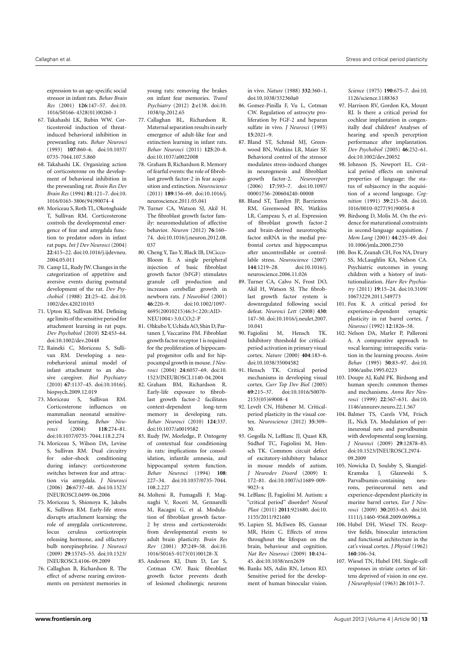expression to an age-specific social stressor in infant rats. *Behav Brain Res* (2001) **126**:147–57. doi[:10.](http://dx.doi.org/10.1016/S0166-4328(01)00260-1) [1016/S0166-4328\(01\)00260-1](http://dx.doi.org/10.1016/S0166-4328(01)00260-1)

- 67. Takahashi LK, Rubin WW. Corticosteroid induction of threatinduced behavioral inhibition in preweanling rats. *Behav Neurosci* (1993) **107**:860–6. doi[:10.1037/](http://dx.doi.org/10.1037/0735-7044.107.5.860) [0735-7044.107.5.860](http://dx.doi.org/10.1037/0735-7044.107.5.860)
- 68. Takahashi LK. Organizing action of corticosterone on the development of behavioral inhibition in the preweanling rat. *Brain Res Dev Brain Res* (1994) **81**:121–7. doi[:10.](http://dx.doi.org/10.1016/0165-3806(94)90074-4) [1016/0165-3806\(94\)90074-4](http://dx.doi.org/10.1016/0165-3806(94)90074-4)
- <span id="page-12-0"></span>69. Moriceau S, Roth TL, Okotoghaide T, Sullivan RM. Corticosterone controls the developmental emergence of fear and amygdala function to predator odors in infant rat pups. *Int J Dev Neurosci* (2004) **22**:415–22. doi[:10.1016/j.ijdevneu.](http://dx.doi.org/10.1016/j.ijdevneu.2004.05.011) [2004.05.011](http://dx.doi.org/10.1016/j.ijdevneu.2004.05.011)
- <span id="page-12-1"></span>70. Camp LL, Rudy JW. Changes in the categorization of appetitive and aversive events during postnatal development of the rat. *Dev Psychobiol* (1988) **21**:25–42. doi[:10.](http://dx.doi.org/10.1002/dev.420210103) [1002/dev.420210103](http://dx.doi.org/10.1002/dev.420210103)
- <span id="page-12-2"></span>71. Upton KJ, Sullivan RM. Defining age limits of the sensitive period for attachment learning in rat pups. *Dev Psychobiol* (2010) **52**:453–64. doi[:10.1002/dev.20448](http://dx.doi.org/10.1002/dev.20448)
- <span id="page-12-3"></span>72. Raineki C, Moriceau S, Sullivan RM. Developing a neurobehavioral animal model of infant attachment to an abusive caregiver. *Biol Psychiatry* (2010) **67**:1137–45. doi[:10.1016/j.](http://dx.doi.org/10.1016/j.biopsych.2009.12.019)
- [biopsych.2009.12.019](http://dx.doi.org/10.1016/j.biopsych.2009.12.019)<br>Moriceau S. Sullivan RM 73. Moriceau S, Corticosterone influences on mammalian neonatal sensitiveperiod learning. *Behav Neurosci* (2004) **118**:274–81. doi[:10.1037/0735-7044.118.2.274](http://dx.doi.org/10.1037/0735-7044.118.2.274)
- 74. Moriceau S, Wilson DA, Levine S, Sullivan RM. Dual circuitry for odor–shock conditioning during infancy: corticosterone switches between fear and attraction via amygdala. *J Neurosci* (2006) **26**:6737–48. doi[:10.1523/](http://dx.doi.org/10.1523/JNEUROSCI.0499-06.2006) [JNEUROSCI.0499-06.2006](http://dx.doi.org/10.1523/JNEUROSCI.0499-06.2006)
- <span id="page-12-4"></span>75. Moriceau S, Shionoya K, Jakubs K, Sullivan RM. Early-life stress disrupts attachment learning: the role of amygdala corticosterone, locus ceruleus corticotropin releasing hormone, and olfactory bulb norepinephrine. *J Neurosci* (2009) **29**:15745–55. doi[:10.1523/](http://dx.doi.org/10.1523/JNEUROSCI.4106-09.2009) [JNEUROSCI.4106-09.2009](http://dx.doi.org/10.1523/JNEUROSCI.4106-09.2009)
- <span id="page-12-5"></span>76. Callaghan B, Richardson R. The effect of adverse rearing environments on persistent memories in

young rats: removing the brakes on infant fear memories. *Transl Psychiatry* (2012) **2**:e138. doi[:10.](http://dx.doi.org/10.1038/tp.2012.65) [1038/tp.2012.65](http://dx.doi.org/10.1038/tp.2012.65)

- <span id="page-12-6"></span>77. Callaghan BL, Richardson R. Maternal separation results in early emergence of adult-like fear and extinction learning in infant rats. *Behav Neurosci* (2011) **125**:20–8. doi[:10.1037/a0022008](http://dx.doi.org/10.1037/a0022008)
- <span id="page-12-7"></span>78. Graham B, Richardson R. Memory of fearful events: the role of fibroblast growth factor-2 in fear acquisition and extinction. *Neuroscience* (2011) **189**:156–69. doi[:10.1016/j.](http://dx.doi.org/10.1016/j.neuroscience.2011.05.041) [neuroscience.2011.05.041](http://dx.doi.org/10.1016/j.neuroscience.2011.05.041)
- <span id="page-12-8"></span>79. Turner CA, Watson SJ, Akil H. The fibroblast growth factor family: neuromodulation of affective behavior. *Neuron* (2012) **76**:160– 74. doi[:10.1016/j.neuron.2012.08.](http://dx.doi.org/10.1016/j.neuron.2012.08.037) [037](http://dx.doi.org/10.1016/j.neuron.2012.08.037)
- <span id="page-12-9"></span>80. Cheng Y, Tao Y, Black IB, DiCicco-Bloom E. A single peripheral injection of basic fibroblast growth factor (bFGF) stimulates granule cell production and increases cerebellar growth in newborn rats. *J Neurobiol* (2001)<br>**46**:220-9 doi:10 1002/1097-**46**:220–9. doi[:10.1002/1097-](http://dx.doi.org/10.1002/1097-4695(20010215)46:3<220::AID-NEU1004>3.0.CO;2-P) [4695\(20010215\)46:3<220::AID-](http://dx.doi.org/10.1002/1097-4695(20010215)46:3<220::AID-NEU1004>3.0.CO;2-P)NEU1004>3.0.CO:2-P
- <span id="page-12-10"></span>81. Ohkubo Y, Uchida AO, Shin D, Partanen J, Vaccarino FM. Fibroblast growth factor receptor 1 is required for the proliferation of hippocampal progenitor cells and for hippocampal growth in mouse. *J Neurosci* (2004) **24**:6057–69. doi[:10.](http://dx.doi.org/10.1523/JNEUROSCI.1140-04.2004) [1523/JNEUROSCI.1140-04.2004](http://dx.doi.org/10.1523/JNEUROSCI.1140-04.2004)
- <span id="page-12-11"></span>82. Graham BM, Richardson R. Early-life exposure to fibroblast growth factor-2 facilitates context-dependent long-term memory in developing rats. *Behav Neurosci* (2010) **124**:337. doi[:10.1037/a0019582](http://dx.doi.org/10.1037/a0019582)
- <span id="page-12-12"></span>83. Rudy JW, Morledge, P. Ontogeny of contextual fear conditioning in rats: implications for consolidation, infantile amnesia, and hippocampal system function. *Behav Neurosci* (1994) **108**: 227–34. doi[:10.1037/0735-7044.](http://dx.doi.org/10.1037/0735-7044.108.2.227) [108.2.227](http://dx.doi.org/10.1037/0735-7044.108.2.227)
- <span id="page-12-13"></span>84. Molteni R, Fumagalli F, Magnaghi V, Roceri M, Gennarelli M, Racagni G, et al. Modulation of fibroblast growth factor-2 by stress and corticosteroids: from developmental events to adult brain plasticity. *Brain Res Rev* (2001) **37**:249–58. doi[:10.](http://dx.doi.org/10.1016/S0165-0173(01)00128-X) [1016/S0165-0173\(01\)00128-X](http://dx.doi.org/10.1016/S0165-0173(01)00128-X)
- <span id="page-12-14"></span>85. Anderson KJ, Dam D, Lee S, Cotman CW. Basic fibroblast growth factor prevents death of lesioned cholinergic neurons

in vivo. *Nature* (1988) **332**:360–1. doi[:10.1038/332360a0](http://dx.doi.org/10.1038/332360a0)

- <span id="page-12-15"></span>86. Gomez-Pinilla F, Vu L, Cotman CW. Regulation of astrocyte proliferation by FGF-2 and heparan sulfate in vivo. *J Neurosci* (1995) **15**:2021–9.
- <span id="page-12-16"></span>87. Bland ST, Schmid MJ, Greenwood BN, Watkins LR, Maier SF. Behavioral control of the stressor modulates stress-induced changes in neurogenesis and fibroblast growth factor-2. *Neuroreport* (2006) **17**:593–7. doi[:10.1097/](http://dx.doi.org/10.1097/00001756-200604240-00008) [00001756-200604240-00008](http://dx.doi.org/10.1097/00001756-200604240-00008)
- <span id="page-12-17"></span>88. Bland ST, Tamlyn JP, Barrientos RM, Greenwood BN, Watkins LR, Campeau S, et al. Expression of fibroblast growth factor-2 and brain-derived neurotrophic factor mRNA in the medial prefrontal cortex and hippocampus after uncontrollable or controllable stress. *Neuroscience* (2007) **144**:1219–28. doi[:10.1016/j.](http://dx.doi.org/10.1016/j.neuroscience.2006.11.026) [neuroscience.2006.11.026](http://dx.doi.org/10.1016/j.neuroscience.2006.11.026)
- <span id="page-12-18"></span>89. Turner CA, Calvo N, Frost DO, Akil H, Watson SJ. The fibroblast growth factor system is downregulated following social defeat. *Neurosci Lett* (2008) **430**: 147–50. doi[:10.1016/j.neulet.2007.](http://dx.doi.org/10.1016/j.neulet.2007.10.041) [10.041](http://dx.doi.org/10.1016/j.neulet.2007.10.041)
- <span id="page-12-19"></span>90. Fagiolini M, Hensch TK. Inhibitory threshold for criticalperiod activation in primary visual cortex. *Nature* (2000) **404**:183–6. doi[:10.1038/35004582](http://dx.doi.org/10.1038/35004582)
- <span id="page-12-35"></span>91. Hensch TK. Critical period mechanisms in developing visual cortex. *Curr Top Dev Biol* (2005) **69**:215–37. doi[:10.1016/S0070-](http://dx.doi.org/10.1016/S0070-2153(05)69008-4) [2153\(05\)69008-4](http://dx.doi.org/10.1016/S0070-2153(05)69008-4)
- <span id="page-12-20"></span>92. Levelt CN, Hübener M. Criticalperiod plasticity in the visual cortex. *Neuroscience* (2012) **35**:309– 30.
- <span id="page-12-21"></span>93. Gogolla N, LeBlanc JJ, Quast KB, Südhof TC, Fagiolini M, Hensch TK. Common circuit defect of excitatory-inhibitory balance in mouse models of autism. *J Neurodev Disord* (2009) **1**: 172–81. doi[:10.1007/s11689-009-](http://dx.doi.org/10.1007/s11689-009-9023-x) [9023-x](http://dx.doi.org/10.1007/s11689-009-9023-x)
- <span id="page-12-22"></span>94. LeBlanc JJ, Fagiolini M. Autism: a "critical period" disorder? *Neural Plast* (2011) **2011**:921680. doi[:10.](http://dx.doi.org/10.1155/2011/921680) [1155/2011/921680](http://dx.doi.org/10.1155/2011/921680)
- <span id="page-12-23"></span>95. Lupien SJ, McEwen BS, Gunnar MR, Heim C. Effects of stress throughout the lifespan on the brain, behaviour and cognition. *Nat Rev Neurosci* (2009) **10**:434– 45. doi[:10.1038/nrn2639](http://dx.doi.org/10.1038/nrn2639)
- <span id="page-12-24"></span>96. Banks MS, Aslin RN, Letson RD. Sensitive period for the development of human binocular vision.

*Science* (1975) **190**:675–7. doi[:10.](http://dx.doi.org/10.1126/science.1188363) [1126/science.1188363](http://dx.doi.org/10.1126/science.1188363)

- <span id="page-12-25"></span>97. Harrison RV, Gordon KA, Mount RJ. Is there a critical period for cochlear implantation in congenitally deaf children? Analyses of hearing and speech perception performance after implantation. *Dev Psychobiol* (2005) **46**:252–61. doi[:10.1002/dev.20052](http://dx.doi.org/10.1002/dev.20052)
- <span id="page-12-26"></span>98. Johnson JS, Newport EL. Critical period effects on universal properties of language: the status of subjacency in the acquisition of a second language. *Cognition* (1991) **39**:215–58. doi[:10.](http://dx.doi.org/10.1016/0010-0277(91)90054-8) [1016/0010-0277\(91\)90054-8](http://dx.doi.org/10.1016/0010-0277(91)90054-8)
- <span id="page-12-27"></span>99. Birdsong D, Molis M. On the evidence for maturational constraints in second-language acquisition. *J Mem Lang* (2001) **44**:235–49. doi: [10.1006/jmla.2000.2750](http://dx.doi.org/10.1006/jmla.2000.2750)
- <span id="page-12-28"></span>100. Bos K, Zeanah CH, Fox NA, Drury SS, McLaughlin KA, Nelson CA. Psychiatric outcomes in young children with a history of institutionalization. *Harv Rev Psychiatry* (2011) **19**:15–24. doi[:10.3109/](http://dx.doi.org/10.3109/10673229.2011.549773) [10673229.2011.549773](http://dx.doi.org/10.3109/10673229.2011.549773)
- <span id="page-12-29"></span>101. Fox K. A critical period for experience-dependent synaptic plasticity in rat barrel cortex. *J Neurosci* (1992) **12**:1826–38.
- 102. Nelson DA, Marler P, Palleroni A. A comparative approach to vocal learning: intraspecific variation in the learning process. *Anim Behav* (1995) **50**:83–97. doi[:10.](http://dx.doi.org/10.1006/anbe.1995.0223) [1006/anbe.1995.0223](http://dx.doi.org/10.1006/anbe.1995.0223)
- <span id="page-12-30"></span>103. Doupe AJ, Kuhl PK. Birdsong and human speech: common themes and mechanisms. *Annu Rev Neurosci* (1999) **22**:567–631. doi[:10.](http://dx.doi.org/10.1146/annurev.neuro.22.1.567) [1146/annurev.neuro.22.1.567](http://dx.doi.org/10.1146/annurev.neuro.22.1.567)
- <span id="page-12-31"></span>104. Balmer TS, Carels VM, Frisch JL, Nick TA. Modulation of perineuronal nets and parvalbumin with developmental song learning. *J Neurosci* (2009) **29**:12878–85. doi[:10.1523/JNEUROSCI.2974-](http://dx.doi.org/10.1523/JNEUROSCI.2974-09.2009) [09.2009](http://dx.doi.org/10.1523/JNEUROSCI.2974-09.2009)
- <span id="page-12-32"></span>105. Nowicka D, Soulsby S, Skangiel-Kramska J, Glazewski S. Parvalbumin-containing rons, perineuronal nets and experience-dependent plasticity in murine barrel cortex. *Eur J Neurosci* (2009) **30**:2053–63. doi[:10.](http://dx.doi.org/10.1111/j.1460-9568.2009.06996.x) [1111/j.1460-9568.2009.06996.x](http://dx.doi.org/10.1111/j.1460-9568.2009.06996.x)
- <span id="page-12-33"></span>106. Hubel DH, Wiesel TN. Receptive fields, binocular interaction and functional architecture in the cat's visual cortex. *J Physiol* (1962) **160**:106–54.
- <span id="page-12-34"></span>107. Wiesel TN, Hubel DH. Single-cell responses in striate cortex of kittens deprived of vision in one eye. *J Neurophysiol* (1963) **26**:1013–7.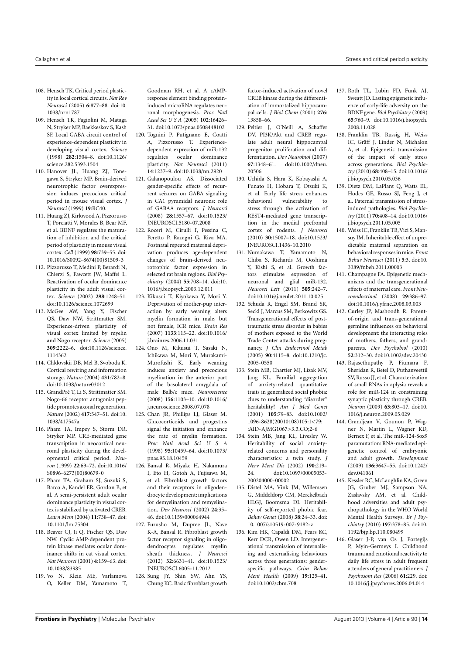- <span id="page-13-0"></span>108. Hensch TK. Critical period plasticity in local cortical circuits. *Nat Rev Neurosci* (2005) **6**:877–88. doi[:10.](http://dx.doi.org/10.1038/nrn1787) [1038/nrn1787](http://dx.doi.org/10.1038/nrn1787)
- <span id="page-13-1"></span>109. Hensch TK, Fagiolini M, Mataga N, Stryker MP, Baekkeskov S, Kash SF. Local GABA circuit control of experience-dependent plasticity in developing visual cortex. *Science* (1998) **282**:1504–8. doi[:10.1126/](http://dx.doi.org/10.1126/science.282.5393.1504) [science.282.5393.1504](http://dx.doi.org/10.1126/science.282.5393.1504)
- <span id="page-13-2"></span>110. Hanover JL, Huang ZJ, Tonegawa S, Stryker MP. Brain-derived neurotrophic factor overexpression induces precocious critical period in mouse visual cortex. *J Neurosci* (1999) **19**:RC40.
- <span id="page-13-3"></span>111. Huang ZJ, Kirkwood A, Pizzorusso T, Porciatti V, Morales B, Bear MF, et al. BDNF regulates the maturation of inhibition and the critical period of plasticity in mouse visual cortex. *Cell* (1999) **98**:739–55. doi: [10.1016/S0092-8674\(00\)81509-3](http://dx.doi.org/10.1016/S0092-8674(00)81509-3)
- <span id="page-13-4"></span>112. Pizzorusso T, Medini P, Berardi N, Chierzi S, Fawcett JW, Maffei L. Reactivation of ocular dominance plasticity in the adult visual cortex. *Science* (2002) **298**:1248–51. doi[:10.1126/science.1072699](http://dx.doi.org/10.1126/science.1072699)
- <span id="page-13-5"></span>113. McGee AW, Yang Y, Fischer QS, Daw NW, Strittmatter SM. Experience-driven plasticity of visual cortex limited by myelin and Nogo receptor. *Science* (2005) **309**:2222–6. doi[:10.1126/science.](http://dx.doi.org/10.1126/science.1114362) [1114362](http://dx.doi.org/10.1126/science.1114362)
- <span id="page-13-6"></span>114. Chklovskii DB, Mel B, Svoboda K. Cortical rewiring and information storage. *Nature* (2004) **431**:782–8. doi[:10.1038/nature03012](http://dx.doi.org/10.1038/nature03012)
- <span id="page-13-7"></span>115. GrandPré T, Li S, Strittmatter SM. Nogo-66 receptor antagonist peptide promotes axonal regeneration. *Nature* (2002) **417**:547–51. doi[:10.](http://dx.doi.org/10.1038/417547a) [1038/417547a](http://dx.doi.org/10.1038/417547a)
- <span id="page-13-8"></span>116. Pham TA, Impey S, Storm DR, Stryker MP. CRE-mediated gene transcription in neocortical neuronal plasticity during the developmental critical period. *Neuron* (1999) **22**:63–72. doi[:10.1016/](http://dx.doi.org/10.1016/S0896-6273(00)80679-0) [S0896-6273\(00\)80679-0](http://dx.doi.org/10.1016/S0896-6273(00)80679-0)
- <span id="page-13-9"></span>117. Pham TA, Graham SJ, Suzuki S, Barco A, Kandel ER, Gordon B, et al. A semi-persistent adult ocular dominance plasticity in visual cortex is stabilized by activated CREB. *Learn Mem* (2004) **11**:738–47. doi: [10.1101/lm.75304](http://dx.doi.org/10.1101/lm.75304)
- <span id="page-13-10"></span>118. Beaver CJ, Ji Q, Fischer QS, Daw NW. Cyclic AMP-dependent protein kinase mediates ocular dominance shifts in cat visual cortex. *Nat Neurosci* (2001) **4**:159–63. doi: [10.1038/83985](http://dx.doi.org/10.1038/83985)
- <span id="page-13-11"></span>119. Vo N, Klein ME, Varlamova O, Keller DM, Yamamoto T,

Goodman RH, et al. A cAMPresponse element binding proteininduced microRNA regulates neuronal morphogenesis. *Proc Natl Acad Sci U S A* (2005) **102**:16426– 31. doi[:10.1073/pnas.0508448102](http://dx.doi.org/10.1073/pnas.0508448102)

- <span id="page-13-12"></span>120. Tognini P, Putignano E, Coatti A, Pizzorusso T. Experiencedependent expression of miR-132 regulates ocular dominance plasticity. *Nat Neurosci* (2011) **14**:1237–9. doi[:10.1038/nn.2920](http://dx.doi.org/10.1038/nn.2920)
- <span id="page-13-13"></span>121. Galanopoulou AS. Dissociated gender-specific effects of recurrent seizures on GABA signaling in CA1 pyramidal neurons: role of GABAA receptors. *J Neurosci* (2008) **28**:1557–67. doi[:10.1523/](http://dx.doi.org/10.1523/JNEUROSCI.5180-07.2008) [JNEUROSCI.5180-07.2008](http://dx.doi.org/10.1523/JNEUROSCI.5180-07.2008)
- <span id="page-13-14"></span>122. Roceri M, Cirulli F, Pessina C, Peretto P, Racagni G, Riva MA. Postnatal repeated maternal deprivation produces age-dependent changes of brain-derived neurotrophic factor expression in selected rat brain regions. *Biol Psychiatry* (2004) **55**:708–14. doi[:10.](http://dx.doi.org/10.1016/j.biopsych.2003.12.011) [1016/j.biopsych.2003.12.011](http://dx.doi.org/10.1016/j.biopsych.2003.12.011)
- <span id="page-13-15"></span>123. Kikusui T, Kiyokawa Y, Mori Y. Deprivation of mother-pup interaction by early weaning alters myelin formation in male, but not female, ICR mice. *Brain Res* (2007) **1133**:115–22. doi[:10.1016/](http://dx.doi.org/10.1016/j.brainres.2006.11.031) [j.brainres.2006.11.031](http://dx.doi.org/10.1016/j.brainres.2006.11.031)
- <span id="page-13-16"></span>124. Ono M, Kikusui T, Sasaki N, Ichikawa M, Mori Y, Murakami-Murofushi K. Early weaning induces anxiety and precocious myelination in the anterior part of the basolateral amygdala of male Balb/c mice. *Neuroscience* (2008) **156**:1103–10. doi[:10.1016/](http://dx.doi.org/10.1016/j.neuroscience.2008.07.078) [j.neuroscience.2008.07.078](http://dx.doi.org/10.1016/j.neuroscience.2008.07.078)
- <span id="page-13-17"></span>125. Chan JR, Phillips LJ, Glaser M. Glucocorticoids and progestins signal the initiation and enhance the rate of myelin formation. *Proc Natl Acad Sci U S A* (1998) **95**:10459–64. doi[:10.1073/](http://dx.doi.org/10.1073/pnas.95.18.10459) [pnas.95.18.10459](http://dx.doi.org/10.1073/pnas.95.18.10459)
- <span id="page-13-18"></span>126. Bansal R, Miyake H, Nakamura I, Eto H, Gotoh A, Fujisawa M, et al. Fibroblast growth factors and their receptors in oligodendrocyte development: implications for demyelination and remyelination. *Dev Neurosci* (2002) **24**:35– 46. doi[:10.1159/000064944](http://dx.doi.org/10.1159/000064944)
- <span id="page-13-19"></span>127. Furusho M, Dupree JL, Nave K-A, Bansal R. Fibroblast growth factor receptor signaling in oligodendrocytes regulates myelin sheath thickness. *J Neurosci* (2012) **32**:6631–41. doi[:10.1523/](http://dx.doi.org/10.1523/JNEUROSCI.6005-11.2012) [JNEUROSCI.6005-11.2012](http://dx.doi.org/10.1523/JNEUROSCI.6005-11.2012)
- <span id="page-13-20"></span>128. Sung JY, Shin SW, Ahn YS, Chung KC. Basic fibroblast growth

factor-induced activation of novel CREB kinase during the differentiation of immortalized hippocampal cells. *J Biol Chem* (2001) **276**: 13858–66.

- <span id="page-13-21"></span>129. Peltier J, O'Neill A, Schaffer DV. PI3K/Akt and CREB regulate adult neural hippocampal progenitor proliferation and differentiation. *Dev Neurobiol* (2007) **67**:1348–61. doi[:10.1002/dneu.](http://dx.doi.org/10.1002/dneu.20506) [20506](http://dx.doi.org/10.1002/dneu.20506)
- <span id="page-13-22"></span>130. Uchida S, Hara K, Kobayashi A, Funato H, Hobara T, Otsuki K, et al. Early life stress enhances behavioral vulnerability to stress through the activation of REST4-mediated gene transcription in the medial prefrontal cortex of rodents. *J Neurosci* (2010) **30**:15007–18. doi[:10.1523/](http://dx.doi.org/10.1523/JNEUROSCI.1436-10.2010) [JNEUROSCI.1436-10.2010](http://dx.doi.org/10.1523/JNEUROSCI.1436-10.2010)
- <span id="page-13-23"></span>131. Numakawa T, Yamamoto N, Chiba S, Richards M, Ooshima Y, Kishi S, et al. Growth factors stimulate expression of neuronal and glial miR-132. *Neurosci Lett* (2011) **505**:242–7. doi[:10.1016/j.neulet.2011.10.025](http://dx.doi.org/10.1016/j.neulet.2011.10.025)
- <span id="page-13-24"></span>132. Yehuda R, Engel SM, Brand SR, Seckl J, Marcus SM, Berkowitz GS. Transgenerational effects of posttraumatic stress disorder in babies of mothers exposed to the World Trade Center attacks during pregnancy. *J Clin Endocrinol Metab* (2005) **90**:4115–8. doi[:10.1210/jc.](http://dx.doi.org/10.1210/jc.2005-0550) [2005-0550](http://dx.doi.org/10.1210/jc.2005-0550)
- <span id="page-13-25"></span>133. Stein MB, Chartier MJ, Lizak MV, Jang KL. Familial aggregation of anxiety-related quantitative traits in generalized social phobia: clues to understanding "disorder" heritability? *Am J Med Genet* (2001) **105**:79–83. doi[:10.1002/](http://dx.doi.org/10.1002/1096-8628(20010108)105:1<79::AID-AJMG1067>3.3.CO;2-6) [1096-8628\(20010108\)105:1<79:](http://dx.doi.org/10.1002/1096-8628(20010108)105:1<79::AID-AJMG1067>3.3.CO;2-6) [:AID-AJMG1067>3.3.CO;2-6](http://dx.doi.org/10.1002/1096-8628(20010108)105:1<79::AID-AJMG1067>3.3.CO;2-6)
- 134. Stein MB, Jang KL, Livesley W. Heritability of social anxietyrelated concerns and personality characteristics: a twin study. *J Nerv Ment Dis* (2002) **190**:219– 24. doi[:10.1097/00005053-](http://dx.doi.org/10.1097/00005053-200204000-00002) [200204000-00002](http://dx.doi.org/10.1097/00005053-200204000-00002)
- 135. Distel MA, Vink JM, Willemsen G, Middeldorp CM, Merckelbach HLGJ, Boomsma DI. Heritability of self-reported phobic fear. *Behav Genet* (2008) **38**:24–33. doi: [10.1007/s10519-007-9182-z](http://dx.doi.org/10.1007/s10519-007-9182-z)
- <span id="page-13-26"></span>136. Kim HK, Capaldi DM, Pears KC, Kerr DCR, Owen LD. Intergenerational transmission of internalising and externalising behaviours across three generations: genderspecific pathways. *Crim Behav Ment Health* (2009) **19**:125–41. doi[:10.1002/cbm.708](http://dx.doi.org/10.1002/cbm.708)
- <span id="page-13-27"></span>137. Roth TL, Lubin FD, Funk AJ, Sweatt JD. Lasting epigenetic influence of early-life adversity on the BDNF gene. *Biol Psychiatry* (2009) **65**:760–9. doi[:10.1016/j.biopsych.](http://dx.doi.org/10.1016/j.biopsych.2008.11.028) [2008.11.028](http://dx.doi.org/10.1016/j.biopsych.2008.11.028)
- <span id="page-13-30"></span>138. Franklin TB, Russig H, Weiss IC, Gräff J, Linder N, Michalon A, et al. Epigenetic transmission of the impact of early stress across generations. *Biol Psychiatry* (2010) **68**:408–15. doi[:10.1016/](http://dx.doi.org/10.1016/j.biopsych.2010.05.036) [j.biopsych.2010.05.036](http://dx.doi.org/10.1016/j.biopsych.2010.05.036)
- 139. Dietz DM, LaPlant Q, Watts EL, Hodes GE, Russo SJ, Feng J, et al. Paternal transmission of stressinduced pathologies. *Biol Psychiatry* (2011) **70**:408–14. doi[:10.1016/](http://dx.doi.org/10.1016/j.biopsych.2011.05.005) [j.biopsych.2011.05.005](http://dx.doi.org/10.1016/j.biopsych.2011.05.005)
- <span id="page-13-28"></span>140. Weiss IC, Franklin TB,Vizi S, Mansuy IM. Inheritable effect of unpredictable maternal separation on behavioral responses in mice. *Front Behav Neurosci* (2011) **5**:3. doi[:10.](http://dx.doi.org/10.3389/fnbeh.2011.00003) [3389/fnbeh.2011.00003](http://dx.doi.org/10.3389/fnbeh.2011.00003)
- <span id="page-13-29"></span>141. Champagne FA. Epigenetic mechanisms and the transgenerational effects of maternal care. *Front Neuroendocrinol* (2008) **29**:386–97. doi[:10.1016/j.yfrne.2008.03.003](http://dx.doi.org/10.1016/j.yfrne.2008.03.003)
- <span id="page-13-31"></span>142. Curley JP, Mashoodh R. Parentof-origin and trans-generational germline influences on behavioral development: the interacting roles of mothers, fathers, and grandparents. *Dev Psychobiol* (2010) **52**:312–30. doi[:10.1002/dev.20430](http://dx.doi.org/10.1002/dev.20430)
- <span id="page-13-32"></span>143. Rajasethupathy P, Fiumara F, Sheridan R, Betel D, Puthanveettil SV, Russo JJ, et al. Characterization of small RNAs in aplysia reveals a role for miR-124 in constraining synaptic plasticity through CREB. *Neuron* (2009) **63**:803–17. doi[:10.](http://dx.doi.org/10.1016/j.neuron.2009.05.029) [1016/j.neuron.2009.05.029](http://dx.doi.org/10.1016/j.neuron.2009.05.029)
- <span id="page-13-33"></span>144. Grandjean V, Gounon P, Wagner N, Martin L, Wagner KD, Bernex F, et al. The miR-124-Sox9 paramutation: RNA-mediated epigenetic control of embryonic and adult growth. *Development* (2009) **136**:3647–55. doi[:10.1242/](http://dx.doi.org/10.1242/dev.041061) [dev.041061](http://dx.doi.org/10.1242/dev.041061)
- <span id="page-13-34"></span>145. Kessler RC, McLaughlin KA, Green JG, Gruber MJ, Sampson NA, Zaslavsky AM, et al. Childhood adversities and adult psychopathology in the WHO World Mental Health Surveys. *Br J Psychiatry* (2010) **197**:378–85. doi[:10.](http://dx.doi.org/10.1192/bjp.bp.110.080499) [1192/bjp.bp.110.080499](http://dx.doi.org/10.1192/bjp.bp.110.080499)
- <span id="page-13-35"></span>146. Glaser J-P, van Os J, Portegijs P, Myin-Germeys I. Childhood trauma and emotional reactivity to daily life stress in adult frequent attenders of general practitioners.*J Psychosom Res* (2006) **61**:229. doi: [10.1016/j.jpsychores.2006.04.014](http://dx.doi.org/10.1016/j.jpsychores.2006.04.014)